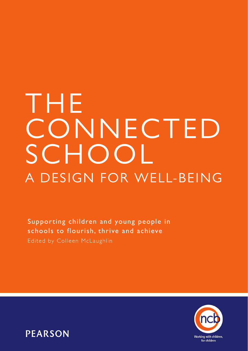# THE **CONNECTED SCHOOL** A DESIGN FOR WELL-BEING

Supporting children and young people in schools to flourish, thrive and achieve Edited by Colleen McLaughlin



**PEARSON**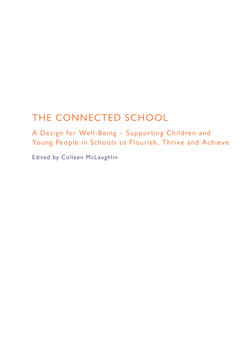# THE CONNECTED SCHOOL

A Design for Well-Being – Supporting Children and Young People in Schools to Flourish, Thrive and Achieve

Edited by Colleen McLaughlin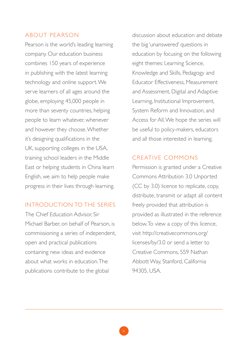#### ABOUT PEARSON

Pearson is the world's leading learning company. Our education business combines 150 years of experience in publishing with the latest learning technology and online support. We serve learners of all ages around the globe, employing 45,000 people in more than seventy countries, helping people to learn whatever, whenever and however they choose. Whether it's designing qualifications in the UK, supporting colleges in the USA, training school leaders in the Middle East or helping students in China learn English, we aim to help people make progress in their lives through learning.

#### INTRODUCTION TO THE SERIES

The Chief Education Advisor, Sir Michael Barber, on behalf of Pearson, is commissioning a series of independent, open and practical publications containing new ideas and evidence about what works in education. The publications contribute to the global

discussion about education and debate the big 'unanswered' questions in education by focusing on the following eight themes: Learning Science, Knowledge and Skills, Pedagogy and Educator Effectiveness, Measurement and Assessment, Digital and Adaptive Learning, Institutional Improvement, System Reform and Innovation, and Access for All. We hope the series will be useful to policy-makers, educators and all those interested in learning.

#### CREATIVE COMMONS

Permission is granted under a Creative Commons Attribution 3.0 Unported (CC by 3.0) licence to replicate, copy, distribute, transmit or adapt all content freely provided that attribution is provided as illustrated in the reference below. To view a copy of this licence, visit http://creativecommons.org/ licenses/by/3.0 or send a letter to Creative Commons, 559 Nathan Abbott Way, Stanford, California 94305, USA.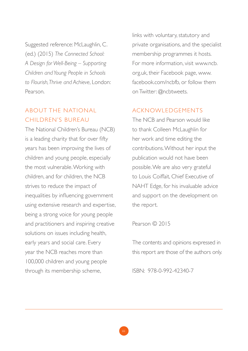Suggested reference: McLaughlin, C. (ed.) (2015) *The Connected School: A Design for Well-Being – Supporting Children and Young People in Schools to Flourish, Thrive and Achieve*, London: Pearson.

### ABOUT THE NATIONAL CHILDREN'S BUREAU

The National Children's Bureau (NCB) is a leading charity that for over fifty years has been improving the lives of children and young people, especially the most vulnerable. Working with children, and for children, the NCB strives to reduce the impact of inequalities by influencing government using extensive research and expertise, being a strong voice for young people and practitioners and inspiring creative solutions on issues including health, early years and social care. Every year the NCB reaches more than 100,000 children and young people through its membership scheme,

links with voluntary, statutory and private organisations, and the specialist membership programmes it hosts. For more information, visit www.ncb. org.uk, their Facebook page, www. facebook.com/ncbfb, or follow them on Twitter: @ncbtweets.

#### ACKNOWLEDGEMENTS

The NCB and Pearson would like to thank Colleen McLaughlin for her work and time editing the contributions. Without her input the publication would not have been possible. We are also very grateful to Louis Coiffait, Chief Executive of NAHT Edge, for his invaluable advice and support on the development on the report.

Pearson © 2015

The contents and opinions expressed in this report are those of the authors only.

ISBN: 978-0-992-42340-7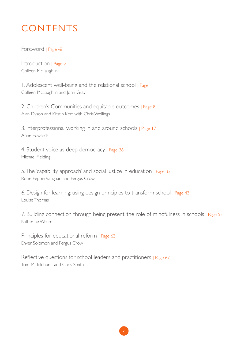# **CONTENTS**

Foreword | Page vii

Introduction | Page viii Colleen McLaughlin

1. Adolescent well-being and the relational school | Page 1 Colleen McLaughlin and John Gray

2. Children's Communities and equitable outcomes | Page 8 Alan Dyson and Kirstin Kerr, with Chris Wellings

3. Interprofessional working in and around schools | Page 17 Anne Edwards

4. Student voice as deep democracy | Page 26 Michael Fielding

5. The 'capability approach' and social justice in education | Page 33 Rosie Peppin Vaughan and Fergus Crow

6. Design for learning: using design principles to transform school | Page 43 Louise Thomas

7. Building connection through being present: the role of mindfulness in schools | Page 52 Katherine Weare

Principles for educational reform | Page 63 Enver Solomon and Fergus Crow

Reflective questions for school leaders and practitioners | Page 67 Tom Middlehurst and Chris Smith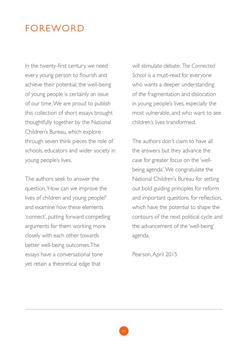## **FOREWORD**

In the twenty-first century, we need every young person to flourish and achieve their potential; the well-being of young people is certainly an issue of our time. We are proud to publish this collection of short essays brought thoughtfully together by the National Children's Bureau, which explore through seven think pieces the role of schools, educators and wider society in young people's lives.

The authors seek to answer the question, 'How can we improve the lives of children and young people?' and examine how these elements 'connect', putting forward compelling arguments for them working more closely with each other towards better well-being outcomes. The essays have a conversational tone yet retain a theoretical edge that

will stimulate debate. *The Connected School* is a must-read for everyone who wants a deeper understanding of the fragmentation and dislocation in young people's lives, especially the most vulnerable, and who want to see children's lives transformed.

The authors don't claim to have all the answers but they advance the case for greater focus on the 'wellbeing agenda'. We congratulate the National Children's Bureau for setting out bold guiding principles for reform and important questions for reflection, which have the potential to shape the contours of the next political cycle and the advancement of the 'well-being' agenda.

Pearson, April 2015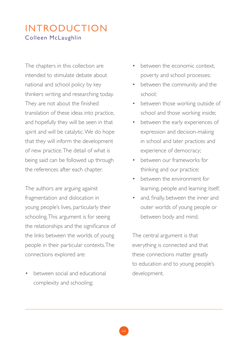## INTRODUCTION Colleen McLaughlin

The chapters in this collection are intended to stimulate debate about national and school policy by key thinkers writing and researching today. They are not about the finished translation of these ideas into practice, and hopefully they will be seen in that spirit and will be catalytic. We do hope that they will inform the development of new practice. The detail of what is being said can be followed up through the references after each chapter.

The authors are arguing against fragmentation and dislocation in young people's lives, particularly their schooling. This argument is for seeing the relationships and the significance of the links between the worlds of young people in their particular contexts. The connections explored are:

between social and educational complexity and schooling;

- between the economic context, poverty and school processes;
- between the community and the school;
- between those working outside of school and those working inside;
- between the early experiences of expression and decision-making in school and later practices and experience of democracy;
- between our frameworks for thinking and our practice;
- between the environment for learning, people and learning itself;
- and, finally, between the inner and outer worlds of young people or between body and mind.

The central argument is that everything is connected and that these connections matter greatly to education and to young people's development.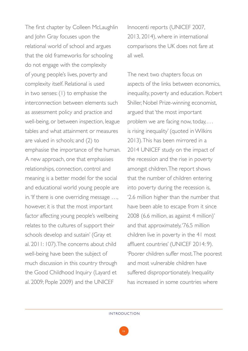The first chapter by Colleen McLaughlin and John Gray focuses upon the relational world of school and argues that the old frameworks for schooling do not engage with the complexity of young people's lives, poverty and complexity itself. Relational is used in two senses: (1) to emphasise the interconnection between elements such as assessment policy and practice and well-being, or between inspection, league tables and what attainment or measures are valued in schools; and (2) to emphasise the importance of the human. A new approach, one that emphasises relationships, connection, control and meaning is a better model for the social and educational world young people are in. 'If there is one overriding message …, however, it is that the most important factor affecting young people's wellbeing relates to the cultures of support their schools develop and sustain' (Gray et al. 2011: 107). The concerns about child well-being have been the subject of much discussion in this country through the Good Childhood Inquiry (Layard et al. 2009; Pople 2009) and the UNICEF

Innocenti reports (UNICEF 2007, 2013, 2014), where in international comparisons the UK does not fare at all well.

The next two chapters focus on aspects of the links between economics, inequality, poverty and education. Robert Shiller, Nobel Prize-winning economist, argued that 'the most important problem we are facing now, today, ... is rising inequality' (quoted in Wilkins 2013). This has been mirrored in a 2014 UNICEF study on the impact of the recession and the rise in poverty amongst children. The report shows that the number of children entering into poverty during the recession is, '2.6 million higher than the number that have been able to escape from it since 2008 (6.6 million, as against 4 million)' and that approximately, '76.5 million children live in poverty in the 41 most affluent countries' (UNICEF 2014: 9). 'Poorer children suffer most. The poorest and most vulnerable children have suffered disproportionately. Inequality has increased in some countries where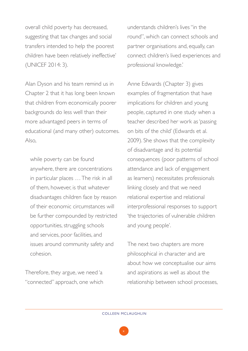overall child poverty has decreased, suggesting that tax changes and social transfers intended to help the poorest children have been relatively ineffective' (UNICEF 2014: 3).

Alan Dyson and his team remind us in Chapter 2 that it has long been known that children from economically poorer backgrounds do less well than their more advantaged peers in terms of educational (and many other) outcomes. Also,

while poverty can be found anywhere, there are concentrations in particular places … The risk in all of them, however, is that whatever disadvantages children face by reason of their economic circumstances will be further compounded by restricted opportunities, struggling schools and services, poor facilities, and issues around community safety and cohesion.

Therefore, they argue, we need 'a "connected" approach, one which

understands children's lives "in the round", which can connect schools and partner organisations and, equally, can connect children's lived experiences and professional knowledge.'

Anne Edwards (Chapter 3) gives examples of fragmentation that have implications for children and young people, captured in one study when a teacher described her work as 'passing on bits of the child' (Edwards et al. 2009). She shows that the complexity of disadvantage and its potential consequences (poor patterns of school attendance and lack of engagement as learners) necessitates professionals linking closely and that we need relational expertise and relational interprofessional responses to support 'the trajectories of vulnerable children and young people'.

The next two chapters are more philosophical in character and are about how we conceptualise our aims and aspirations as well as about the relationship between school processes,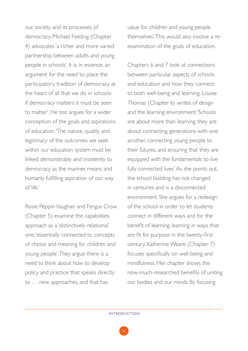our society and its processes of democracy. Michael Fielding (Chapter 4) advocates 'a richer and more varied partnership between adults and young people in schools'. It is, in essence, an argument for the need 'to place the participatory tradition of democracy at the heart of all that we do in schools: if democracy matters it must be seen to matter'. He too argues for a wider conception of the goals and aspirations of education. 'The nature, quality and legitimacy of the outcomes we seek within our education system must be linked demonstrably and insistently to democracy as the manner, means and humanly fulfilling aspiration of our way of life.'

Rosie Peppin Vaughan and Fergus Crow (Chapter 5) examine the capabilities approach as a 'distinctively relational' one, 'essentially connected to concepts of choice and meaning for children and young people'. They argue there is a need to think about how to develop policy and practice 'that speaks directly to … new approaches, and that has

value for children and young people themselves'. This would also involve a reexamination of the goals of education.

Chapters 6 and 7 look at connections between particular aspects of schools and education and how they connect to both well-being and learning. Louise Thomas (Chapter 6) writes of design and the learning environment: 'Schools are about more than learning: they are about connecting generations with one another, connecting young people to their futures, and ensuring that they are equipped with the fundamentals to live fully connected lives.' As she points out, the school building has not changed in centuries and is a disconnected environment. She argues for a redesign of the school in order to let students connect in different ways and for the benefit of learning: learning in ways that are fit for purpose in the twenty-first century. Katherine Weare (Chapter 7) focuses specifically on well-being and mindfulness. Her chapter shows the now-much-researched benefits of uniting our bodies and our minds. By focusing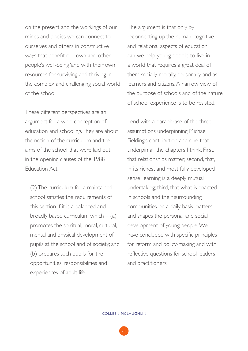on the present and the workings of our minds and bodies we can connect to ourselves and others in constructive ways that benefit our own and other people's well-being 'and with their own resources for surviving and thriving in the complex and challenging social world of the school'.

These different perspectives are an argument for a wide conception of education and schooling. They are about the notion of the curriculum and the aims of the school that were laid out in the opening clauses of the 1988 Education Act:

(2) The curriculum for a maintained school satisfies the requirements of this section if it is a balanced and broadly based curriculum which  $-$  (a) promotes the spiritual, moral, cultural, mental and physical development of pupils at the school and of society; and (b) prepares such pupils for the opportunities, responsibilities and experiences of adult life.

The argument is that only by reconnecting up the human, cognitive and relational aspects of education can we help young people to live in a world that requires a great deal of them socially, morally, personally and as learners and citizens. A narrow view of the purpose of schools and of the nature of school experience is to be resisted.

I end with a paraphrase of the three assumptions underpinning Michael Fielding's contribution and one that underpin all the chapters I think. First, that relationships matter; second, that, in its richest and most fully developed sense, learning is a deeply mutual undertaking; third, that what is enacted in schools and their surrounding communities on a daily basis matters and shapes the personal and social development of young people. We have concluded with specific principles for reform and policy-making and with reflective questions for school leaders and practitioners.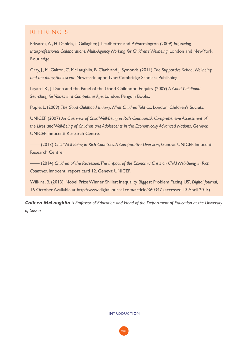#### REFERENCES

Edwards, A., H. Daniels, T. Gallagher, J. Leadbetter and P. Warmington (2009) *Improving Interprofessional Collaborations: Multi-Agency Working for Children's Wellbeing*, London and New York: Routledge.

Gray, J., M. Galton, C. McLaughlin, B. Clark and J. Symonds (2011) *The Supportive School: Wellbeing and the Young Adolescent*, Newcastle upon Tyne: Cambridge Scholars Publishing.

Layard, R., J. Dunn and the Panel of the Good Childhood Enquiry (2009) *A Good Childhood: Searching for Values in a Competitive Age*, London: Penguin Books.

Pople, L. (2009) *The Good Childhood Inquiry: What Children Told Us*, London: Children's Society.

UNICEF (2007) *An Overview of Child Well-Being in Rich Countries: A Comprehensive Assessment of the Lives and Well-Being of Children and Adolescents in the Economically Advanced Nations*, Geneva: UNICEF, Innocenti Research Centre.

—— (2013) *Child Well-Being in Rich Countries: A Comparative Overview*, Geneva: UNICEF, Innocenti Research Centre.

—— (2014) *Children of the Recession: The Impact of the Economic Crisis on Child Well-Being in Rich Countries*. Innocenti report card 12. Geneva: UNICEF.

Wilkins, B. (2013) 'Nobel Prize Winner Shiller: Inequality Biggest Problem Facing US', *Digital Journal*, 16 October. Available at http://www.digitaljournal.com/article/360347 (accessed 13 April 2015).

*Colleen McLaughlin is Professor of Education and Head of the Department of Education at the University of Sussex.*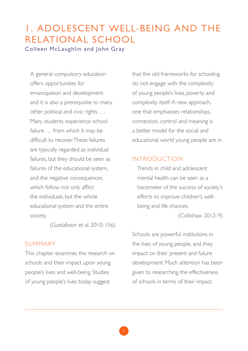## 1. ADOLESCENT WELL-BEING AND THE RELATIONAL SCHOOL Colleen McLaughlin and John Gray

A general compulsory education offers opportunities for emancipation and development and it is also a prerequisite to many other political and civic rights … Many students experience school failure … from which it may be difficult to recover. These failures are typically regarded as individual failures, but they should be seen as failures of the educational system, and the negative consequences which follow not only afflict the individuals, but the whole educational system and the entire society.

(Gustafsson et al. 2010: 156)

#### SUMMARY

This chapter examines the research on schools and their impact upon young people's lives and well-being. Studies of young people's lives today suggest

that the old frameworks for schooling do not engage with the complexity of young people's lives, poverty and complexity itself. A new approach, one that emphasises relationships, connection, control and meaning is a better model for the social and educational world young people are in.

#### INTRODUCTION

Trends in child and adolescent mental health can be seen as a barometer of the success of society's efforts to improve children's wellbeing and life chances.

(Collishaw 2012: 9)

Schools are powerful institutions in the lives of young people, and they impact on their present and future development. Much attention has been given to researching the effectiveness of schools in terms of their impact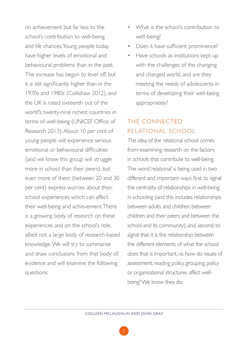on achievement but far less to the school's contribution to well-being and life chances. Young people today have higher levels of emotional and behavioural problems than in the past. The increase has begun to level off, but it is still significantly higher than in the 1970s and 1980s (Collishaw 2012), and the UK is rated sixteenth out of the world's twenty-nine richest countries in terms of well-being (UNICEF Office of Research 2013). About 10 per cent of young people will experience serious emotional or behavioural difficulties (and we know this group will struggle more in school than their peers), but even more of them (between 20 and 30 per cent) express worries about their school experiences which can affect their well-being and achievement. There is a growing body of research on these experiences and on the school's role, albeit not a large body of research-based knowledge. We will try to summarise and draw conclusions from that body of evidence and will examine the following questions:

- What is the school's contribution to well-being?
- Does it have sufficient prominence?
- Have schools as institutions kept up with the challenges of the changing and changed world, and are they meeting the needs of adolescents in terms of developing their well-being appropriately?

## THE CONNECTED RELATIONAL SCHOOL

The idea of the relational school comes from examining research on the factors in schools that contribute to well-being. The word 'relational' is being used in two different and important ways: first, to signal the centrality of relationships in well-being in schooling (and this includes relationships between adults and children, between children and their peers and between the school and its community); and, second, to signal that it is the relationship between the different elements of what the school does that is important, i.e. how do issues of assessment, reading policy, grouping policy or organisational structures affect wellbeing? We know they do.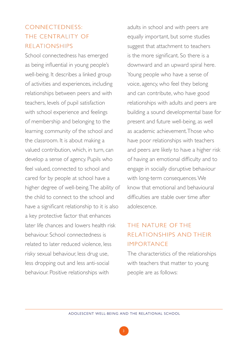## CONNECTEDNESS: THE CENTRALITY OF RELATIONSHIPS

School connectedness has emerged as being influential in young people's well-being. It describes a linked group of activities and experiences, including relationships between peers and with teachers, levels of pupil satisfaction with school experience and feelings of membership and belonging to the learning community of the school and the classroom. It is about making a valued contribution, which, in turn, can develop a sense of agency. Pupils who feel valued, connected to school and cared for by people at school have a higher degree of well-being. The ability of the child to connect to the school and have a significant relationship to it is also a key protective factor that enhances later life chances and lowers health risk behaviour. School connectedness is related to later reduced violence, less risky sexual behaviour, less drug use, less dropping out and less anti-social behaviour. Positive relationships with

adults in school and with peers are equally important, but some studies suggest that attachment to teachers is the more significant. So there is a downward and an upward spiral here. Young people who have a sense of voice, agency, who feel they belong and can contribute, who have good relationships with adults and peers are building a sound developmental base for present and future well-being, as well as academic achievement. Those who have poor relationships with teachers and peers are likely to have a higher risk of having an emotional difficulty and to engage in socially disruptive behaviour with long-term consequences. We know that emotional and behavioural difficulties are stable over time after adolescence.

## THE NATURE OF THE RELATIONSHIPS AND THEIR IMPORTANCE

The characteristics of the relationships with teachers that matter to young people are as follows: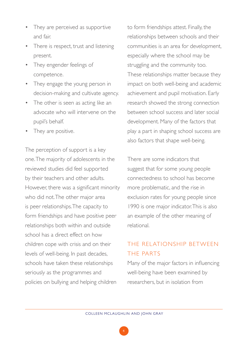- They are perceived as supportive and fair.
- There is respect, trust and listening present.
- They engender feelings of competence.
- They engage the young person in decision-making and cultivate agency.
- The other is seen as acting like an advocate who will intervene on the pupil's behalf.
- They are positive.

The perception of support is a key one. The majority of adolescents in the reviewed studies did feel supported by their teachers and other adults. However, there was a significant minority who did not. The other major area is peer relationships. The capacity to form friendships and have positive peer relationships both within and outside school has a direct effect on how children cope with crisis and on their levels of well-being. In past decades, schools have taken these relationships seriously as the programmes and policies on bullying and helping children

to form friendships attest. Finally, the relationships between schools and their communities is an area for development, especially where the school may be struggling and the community too. These relationships matter because they impact on both well-being and academic achievement and pupil motivation. Early research showed the strong connection between school success and later social development. Many of the factors that play a part in shaping school success are also factors that shape well-being.

There are some indicators that suggest that for some young people connectedness to school has become more problematic, and the rise in exclusion rates for young people since 1990 is one major indicator. This is also an example of the other meaning of relational.

## THE RELATIONSHIP BETWEEN THE PARTS

Many of the major factors in influencing well-being have been examined by researchers, but in isolation from

4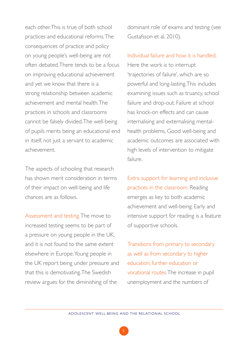each other. This is true of both school practices and educational reforms. The consequences of practice and policy on young people's well-being are not often debated. There tends to be a focus on improving educational achievement and yet we know that there is a strong relationship between academic achievement and mental health. The practices in schools and classrooms cannot be falsely divided. The well-being of pupils merits being an educational end in itself, not just a servant to academic achievement.

The aspects of schooling that research has shown merit consideration in terms of their impact on well-being and life chances are as follows.

Assessment and testing. The move to increased testing seems to be part of a pressure on young people in the UK, and it is not found to the same extent elsewhere in Europe. Young people in the UK report being under pressure and that this is demotivating. The Swedish review argues for the diminishing of the

dominant role of exams and testing (see Gustafsson et al. 2010).

Individual failure and how it is handled. Here the work is to interrupt 'trajectories of failure', which are so powerful and long-lasting. This includes examining issues such as truancy, school failure and drop-out. Failure at school has knock-on effects and can cause internalising and externalising mentalhealth problems. Good well-being and academic outcomes are associated with high levels of intervention to mitigate failure.

Extra support for learning and inclusive practices in the classroom. Reading emerges as key to both academic achievement and well-being. Early and intensive support for reading is a feature of supportive schools.

Transitions from primary to secondary as well as from secondary to higher education, further education or vocational routes. The increase in pupil unemployment and the numbers of

ADOLESCENT WELL-BEING AND THE RELATIONAL SCHOOL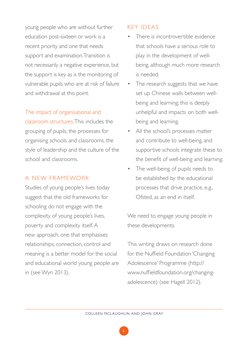young people who are without further education post-sixteen or work is a recent priority and one that needs support and examination. Transition is not necessarily a negative experience, but the support is key as is the monitoring of vulnerable pupils who are at risk of failure and withdrawal at this point.

#### The impact of organisational and

classroom structures. This includes the grouping of pupils, the processes for organising schools and classrooms, the style of leadership and the culture of the school and classrooms.

#### A NEW FRAMEWORK

Studies of young people's lives today suggest that the old frameworks for schooling do not engage with the complexity of young people's lives, poverty and complexity itself. A new approach, one that emphasises relationships, connection, control and meaning is a better model for the social and educational world young people are in (see Wyn 2013).

#### KEY IDEAS

- There is incontrovertible evidence that schools have a serious role to play in the development of wellbeing, although much more research is needed.
- The research suggests that we have set up Chinese walls between wellbeing and learning; this is deeply unhelpful and impacts on both wellbeing and learning.
- All the school's processes matter and contribute to well-being, and supportive schools integrate these to the benefit of well-being and learning.
- The well-being of pupils needs to be established by the educational processes that drive practice, e.g., Ofsted, as an end in itself.

We need to engage young people in these developments.

This writing draws on research done for the Nuffield Foundation 'Changing Adolescence' Programme (http:// www.nuffieldfoundation.org/changingadolescence) (see Hagell 2012).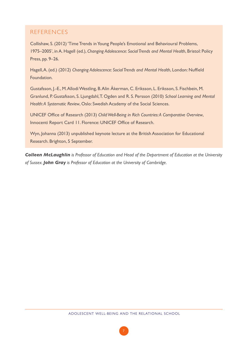#### REFERENCES

Collishaw, S. (2012) 'Time Trends in Young People's Emotional and Behavioural Problems, 1975–2005', in A. Hagell (ed.), *Changing Adolescence: Social Trends and Mental Health*, Bristol: Policy Press, pp. 9–26.

Hagell, A. (ed.) (2012) *Changing Adolescence: Social Trends and Mental Health*, London: Nuffield Foundation.

Gustafsson, J.-E., M. Allodi Westling, B. Alin Åkerman, C. Eriksson, L. Eriksson, S. Fischbein, M. Granlund, P. Gustafsson, S. Ljungdahl, T. Ogden and R. S. Persson (2010) *School Learning and Mental Health: A Systematic Review*, Oslo: Swedish Academy of the Social Sciences.

UNICEF Office of Research (2013) *Child Well-Being in Rich Countries: A Comparative Overview*, Innocenti Report Card 11. Florence: UNICEF Office of Research.

Wyn, Johanna (2013) unpublished keynote lecture at the British Association for Educational Research. Brighton, 5 September.

*Colleen McLaughlin is Professor of Education and Head of the Department of Education at the University of Sussex. John Gray is Professor of Education at the University of Cambridge.*

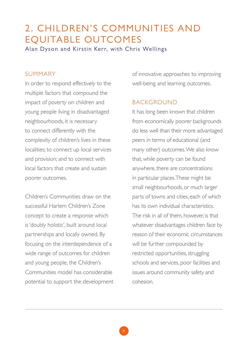## 2. CHILDREN'S COMMUNITIES AND EQUITABLE OUTCOMES Alan Dyson and Kirstin Kerr, with Chris Wellings

#### SUMMARY

In order to respond effectively to the multiple factors that compound the impact of poverty on children and young people living in disadvantaged neighbourhoods, it is necessary to connect differently with the complexity of children's lives in these localities; to connect up local services and provision; and to connect with local factors that create and sustain poorer outcomes.

Children's Communities draw on the successful Harlem Children's Zone concept to create a response which is 'doubly holistic', built around local partnerships and locally owned. By focusing on the interdependence of a wide range of outcomes for children and young people, the Children's Communities model has considerable potential to support the development

of innovative approaches to improving well-being and learning outcomes.

#### BACKGROUND

It has long been known that children from economically poorer backgrounds do less well than their more advantaged peers in terms of educational (and many other) outcomes. We also know that, while poverty can be found anywhere, there are concentrations in particular places. These might be small neighbourhoods, or much larger parts of towns and cities, each of which has its own individual characteristics. The risk in all of them, however is that whatever disadvantages children face by reason of their economic circumstances will be further compounded by restricted opportunities, struggling schools and services, poor facilities and issues around community safety and cohesion.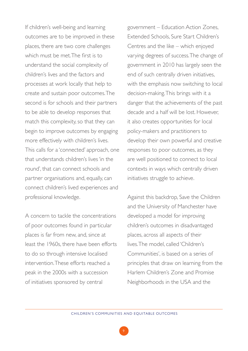If children's well-being and learning outcomes are to be improved in these places, there are two core challenges which must be met. The first is to understand the social complexity of children's lives and the factors and processes at work locally that help to create and sustain poor outcomes. The second is for schools and their partners to be able to develop responses that match this complexity, so that they can begin to improve outcomes by engaging more effectively with children's lives. This calls for a 'connected' approach, one that understands children's lives 'in the round', that can connect schools and partner organisations and, equally, can connect children's lived experiences and professional knowledge.

A concern to tackle the concentrations of poor outcomes found in particular places is far from new, and, since at least the 1960s, there have been efforts to do so through intensive localised intervention. These efforts reached a peak in the 2000s with a succession of initiatives sponsored by central

government – Education Action Zones, Extended Schools, Sure Start Children's Centres and the like – which enjoyed varying degrees of success. The change of government in 2010 has largely seen the end of such centrally driven initiatives, with the emphasis now switching to local decision-making. This brings with it a danger that the achievements of the past decade and a half will be lost. However, it also creates opportunities for local policy-makers and practitioners to develop their own powerful and creative responses to poor outcomes, as they are well positioned to connect to local contexts in ways which centrally driven initiatives struggle to achieve.

Against this backdrop, Save the Children and the University of Manchester have developed a model for improving children's outcomes in disadvantaged places, across all aspects of their lives. The model, called 'Children's Communities', is based on a series of principles that draw on learning from the Harlem Children's Zone and Promise Neighborhoods in the USA and the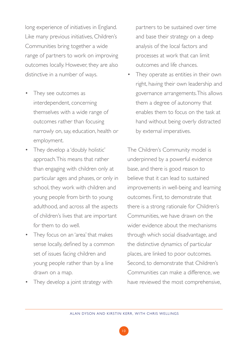long experience of initiatives in England. Like many previous initiatives, Children's Communities bring together a wide range of partners to work on improving outcomes locally. However, they are also distinctive in a number of ways.

- They see outcomes as interdependent, concerning themselves with a wide range of outcomes rather than focusing narrowly on, say, education, health or employment.
- They develop a 'doubly holistic' approach. This means that rather than engaging with children only at particular ages and phases, or only in school, they work with children and young people from birth to young adulthood, and across all the aspects of children's lives that are important for them to do well.
- They focus on an 'area' that makes sense locally, defined by a common set of issues facing children and young people rather than by a line drawn on a map.
- They develop a joint strategy with

partners to be sustained over time and base their strategy on a deep analysis of the local factors and processes at work that can limit outcomes and life chances.

They operate as entities in their own right, having their own leadership and governance arrangements. This allows them a degree of autonomy that enables them to focus on the task at hand without being overly distracted by external imperatives.

The Children's Community model is underpinned by a powerful evidence base, and there is good reason to believe that it can lead to sustained improvements in well-being and learning outcomes. First, to demonstrate that there is a strong rationale for Children's Communities, we have drawn on the wider evidence about the mechanisms through which social disadvantage, and the distinctive dynamics of particular places, are linked to poor outcomes. Second, to demonstrate that Children's Communities can make a difference, we have reviewed the most comprehensive,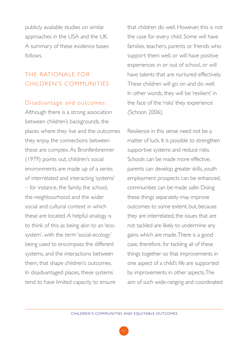publicly available studies on similar approaches in the USA and the UK. A summary of these evidence bases follows.

## THE RATIONALE FOR CHILDREN'S COMMUNITIES

#### Disadvantage and outcomes

Although there is a strong association between children's backgrounds, the places where they live and the outcomes they enjoy, the connections between these are complex. As Bronfenbrenner (1979) points out, children's social environments are made up of a series of interrelated and interacting 'systems' – for instance, the family, the school, the neighbourhood and the wider social and cultural context in which these are located. A helpful analogy is to think of this as being akin to an 'ecosystem', with the term 'social-ecology' being used to encompass the different systems, and the interactions between them, that shape children's outcomes. In disadvantaged places, these systems tend to have limited capacity to ensure

that children do well. However, this is not the case for every child. Some will have families, teachers, parents or friends who support them well, or will have positive experiences in or out of school, or will have talents that are nurtured effectively. These children will go on and do well. In other words, they will be 'resilient' in the face of the 'risks' they experience (Schoon 2006).

Resilience in this sense need not be a matter of luck. It is possible to strengthen supportive systems and reduce risks. Schools can be made more effective, parents can develop greater skills, youth employment prospects can be enhanced, communities can be made safer. Doing these things separately may improve outcomes to some extent, but, because they are interrelated, the issues that are not tackled are likely to undermine any gains which are made. There is a good case, therefore, for tackling all of these things together so that improvements in one aspect of a child's life are supported by improvements in other aspects. The aim of such wide-ranging and coordinated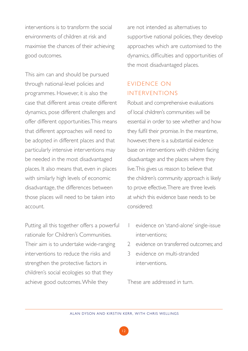interventions is to transform the social environments of children at risk and maximise the chances of their achieving good outcomes.

This aim can and should be pursued through national-level policies and programmes. However, it is also the case that different areas create different dynamics, pose different challenges and offer different opportunities. This means that different approaches will need to be adopted in different places and that particularly intensive interventions may be needed in the most disadvantaged places. It also means that, even in places with similarly high levels of economic disadvantage, the differences between those places will need to be taken into account.

Putting all this together offers a powerful rationale for Children's Communities. Their aim is to undertake wide-ranging interventions to reduce the risks and strengthen the protective factors in children's social ecologies so that they achieve good outcomes. While they

are not intended as alternatives to supportive national policies, they develop approaches which are customised to the dynamics, difficulties and opportunities of the most disadvantaged places.

## EVIDENCE ON INTERVENTIONS

Robust and comprehensive evaluations of local children's communities will be essential in order to see whether and how they fulfil their promise. In the meantime, however, there is a substantial evidence base on interventions with children facing disadvantage and the places where they live. This gives us reason to believe that the children's community approach is likely to prove effective. There are three levels at which this evidence base needs to be considered:

- 1 evidence on 'stand-alone' single-issue interventions;
- 2 evidence on transferred outcomes; and
- 3 evidence on multi-stranded interventions.

These are addressed in turn.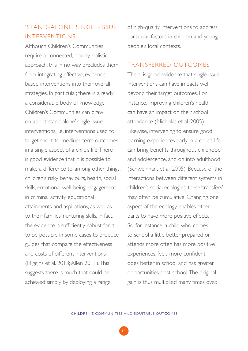## 'STAND-ALONE' SINGLE-ISSUE INTERVENTIONS

Although Children's Communities require a connected, 'doubly holistic' approach, this in no way precludes them from integrating effective, evidencebased interventions into their overall strategies. In particular, there is already a considerable body of knowledge Children's Communities can draw on about 'stand-alone' single-issue interventions, i.e. interventions used to target short-to-medium-term outcomes in a single aspect of a child's life. There is good evidence that it is possible to make a difference to, among other things, children's risky behaviours, health, social skills, emotional well-being, engagement in criminal activity, educational attainments and aspirations, as well as to their families' nurturing skills. In fact, the evidence is sufficiently robust for it to be possible in some cases to produce guides that compare the effectiveness and costs of different interventions (Higgins et al. 2013; Allen 2011). This suggests there is much that could be achieved simply by deploying a range

of high-quality interventions to address particular factors in children and young people's local contexts.

#### TRANSFERRED OUTCOMES

There is good evidence that single-issue interventions can have impacts well beyond their target outcomes. For instance, improving children's health can have an impact on their school attendance (Nicholas et al. 2005). Likewise, intervening to ensure good learning experiences early in a child's life can bring benefits throughout childhood and adolescence, and on into adulthood (Schweinhart et al. 2005). Because of the interactions between different systems in children's social ecologies, these 'transfers' may often be cumulative. Changing one aspect of the ecology enables other parts to have more positive effects. So, for instance, a child who comes to school a little better prepared or attends more often has more positive experiences, feels more confident, does better in school and has greater opportunities post-school. The original gain is thus multiplied many times over.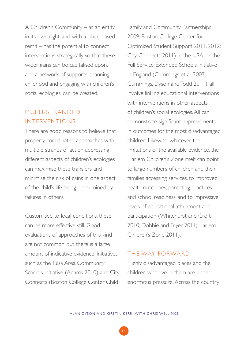A Children's Community – as an entity in its own right, and with a place-based remit – has the potential to connect interventions strategically so that these wider gains can be capitalised upon, and a network of supports, spanning childhood and engaging with children's social ecologies, can be created.

## MULTI-STRANDED INTERVENTIONS

There are good reasons to believe that properly coordinated approaches with multiple strands of action addressing different aspects of children's ecologies can maximise these transfers and minimise the risk of gains in one aspect of the child's life being undermined by failures in others.

Customised to local conditions, these can be more effective still. Good evaluations of approaches of this kind are not common, but there is a large amount of indicative evidence. Initiatives such as the Tulsa Area Community Schools initiative (Adams 2010) and City Connects (Boston College Center Child

Family and Community Partnerships 2009; Boston College Center for Optimized Student Support 2011, 2012; City Connects 2011) in the USA, or the Full Service Extended Schools initiative in England (Cummings et al. 2007; Cummings, Dyson and Todd 2011), all involve linking educational interventions with interventions in other aspects of children's social ecologies. All can demonstrate significant improvements in outcomes for the most disadvantaged children. Likewise, whatever the limitations of the available evidence, the Harlem Children's Zone itself can point to large numbers of children and their families accessing services, to improved health outcomes, parenting practices and school readiness, and to impressive levels of educational attainment and participation (Whitehurst and Croft 2010; Dobbie and Fryer 2011; Harlem Children's Zone 2011).

#### THE WAY FORWARD

Highly disadvantaged places and the children who live in them are under enormous pressure. Across the country,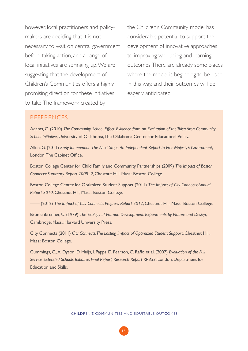however, local practitioners and policymakers are deciding that it is not necessary to wait on central government before taking action, and a range of local initiatives are springing up. We are suggesting that the development of Children's Communities offers a highly promising direction for these initiatives to take. The framework created by

the Children's Community model has considerable potential to support the development of innovative approaches to improving well-being and learning outcomes. There are already some places where the model is beginning to be used in this way, and their outcomes will be eagerly anticipated.

#### **REFERENCES**

Adams, C. (2010) *The Community School Effect: Evidence from an Evaluation of the Tulsa Area Community School Initiative*, University of Oklahoma, The Oklahoma Center for Educational Policy.

Allen, G. (2011) *Early Intervention: The Next Steps. An Independent Report to Her Majesty's Government*, London: The Cabinet Office.

Boston College Center for Child Family and Community Partnerships (2009) *The Impact of Boston Connects: Summary Report 2008–9*, Chestnut Hill, Mass.: Boston College.

Boston College Center for Optimized Student Support (2011) *The Impact of City Connects: Annual Report 2010*, Chestnut Hill, Mass.: Boston College.

—— (2012) *The Impact of City Connects: Progress Report 2012*, Chestnut Hill, Mass.: Boston College.

Bronfenbrenner, U. (1979) *The Ecology of Human Development: Experiments by Nature and Design*, Cambridge, Mass.: Harvard University Press.

City Connects (2011) *City Connects: The Lasting Impact of Optimized Student Support*, Chestnut Hill, Mass.: Boston College.

Cummings, C., A. Dyson, D. Muijs, I. Papps, D. Pearson, C. Raffo et al. (2007) *Evaluation of the Full Service Extended Schools Initiative: Final Report, Research Report RR852*, London: Department for Education and Skills.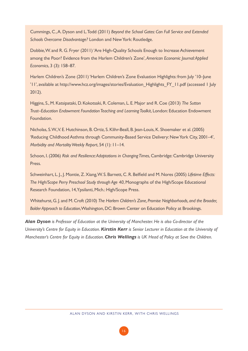Cummings, C., A. Dyson and L. Todd (2011) *Beyond the School Gates: Can Full Service and Extended Schools Overcome Disadvantage?* London and New York: Routledge.

Dobbie, W. and R. G. Fryer (2011) 'Are High-Quality Schools Enough to Increase Achievement among the Poor? Evidence from the Harlem Children's Zone', *American Economic Journal: Applied Economics*, 3 (3): 158–87.

Harlem Children's Zone (2011) 'Harlem Children's Zone Evaluation Highlights: from July '10–June '11', available at http://www.hcz.org/images/stories/Evaluation\_Highlights\_FY\_11.pdf (accessed 1 July 2012).

Higgins, S., M. Katsipataki, D. Kokotsaki, R. Coleman, L. E. Major and R. Coe (2013) *The Sutton Trust–Education Endowment Foundation Teaching and Learning Toolkit*, London: Education Endowment **Foundation** 

Nicholas, S. W., V. E. Hutchinson, B. Ortiz, S. Klihr-Beall, B. Jean-Louis, K. Shoemaker et al. (2005) 'Reducing Childhood Asthma through Community-Based Service Delivery: New York City, 2001–4', *Morbidity and Mortality Weekly Report*, 54 (1): 11–14.

Schoon, I. (2006) *Risk and Resilience: Adaptations in Changing Times*, Cambridge: Cambridge University Press.

Schweinhart, L. J., J. Montie, Z. Xiang, W. S. Barnett, C. R. Belfield and M. Nores (2005) *Lifetime Effects: The High/Scope Perry Preschool Study through Age 40*, Monographs of the High/Scope Educational Research Foundation, 14, Ypsilanti, Mich.: High/Scope Press.

Whitehurst, G. J. and M. Croft (2010) *The Harlem Children's Zone, Promise Neighborhoods, and the Broader, Bolder Approach to Education*, Washington, DC: Brown Center on Education Policy at Brookings.

*Alan Dyson is Professor of Education at the University of Manchester. He is also Co-director of the University's Centre for Equity in Education. Kirstin Kerr is Senior Lecturer in Education at the University of Manchester's Centre for Equity in Education. Chris Wellings is UK Head of Policy at Save the Children.*

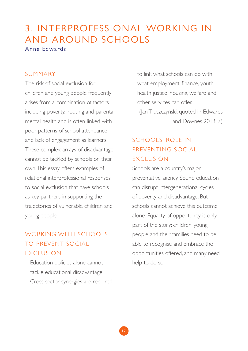## 3. INTERPROFESSIONAL WORKING IN AND AROUND SCHOOLS Anne Edwards

#### SUMMARY

The risk of social exclusion for children and young people frequently arises from a combination of factors including poverty, housing and parental mental health and is often linked with poor patterns of school attendance and lack of engagement as learners. These complex arrays of disadvantage cannot be tackled by schools on their own. This essay offers examples of relational interprofessional responses to social exclusion that have schools as key partners in supporting the trajectories of vulnerable children and young people.

## WORKING WITH SCHOOLS TO PREVENT SOCIAL **EXCLUSION**

Education policies alone cannot tackle educational disadvantage. Cross-sector synergies are required, to link what schools can do with what employment, finance, youth, health justice, housing, welfare and other services can offer. (Jan Truszczyński, quoted in Edwards and Downes 2013: 7)

## SCHOOLS' ROLE IN PREVENTING SOCIAL **EXCLUSION**

Schools are a country's major preventative agency. Sound education can disrupt intergenerational cycles of poverty and disadvantage. But schools cannot achieve this outcome alone. Equality of opportunity is only part of the story: children, young people and their families need to be able to recognise and embrace the opportunities offered, and many need help to do so.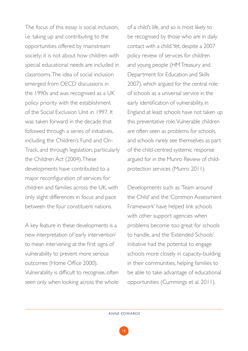The focus of this essay is social inclusion, i.e. taking up and contributing to the opportunities offered by mainstream society; it is not about how children with special educational needs are included in classrooms. The idea of social inclusion emerged from OECD discussions in the 1990s and was recognised as a UK policy priority with the establishment of the Social Exclusion Unit in 1997. It was taken forward in the decade that followed through a series of initiatives, including the Children's Fund and On-Track, and through legislation, particularly the Children Act (2004). These developments have contributed to a major reconfiguration of services for children and families across the UK, with only slight differences in focus and pace between the four constituent nations.

A key feature in these developments is a new interpretation of 'early intervention' to mean intervening at the first signs of vulnerability to prevent more serious outcomes (Home Office 2000). Vulnerability is difficult to recognise, often seen only when looking across the whole

of a child's life, and so is most likely to be recognised by those who are in daily contact with a child. Yet, despite a 2007 policy review of services for children and young people (HM Treasury and Department for Education and Skills 2007), which argued for the central role of schools as a universal service in the early identification of vulnerability, in England at least schools have not taken up this preventative role. Vulnerable children are often seen as problems for schools, and schools rarely see themselves as part of the child-centred systemic response argued for in the Munro Review of childprotection services (Munro 2011).

Developments such as 'Team around the Child' and the 'Common Assessment Framework' have helped link schools with other support agencies when problems become too great for schools to handle, and the 'Extended Schools' initiative had the potential to engage schools more closely in capacity-building in their communities, helping families to be able to take advantage of educational opportunities (Cummings et al. 2011).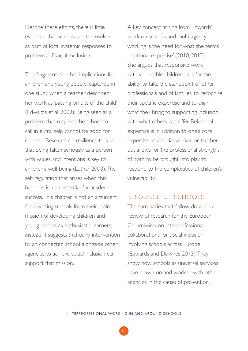Despite these efforts, there is little evidence that schools see themselves as part of local systemic responses to problems of social exclusion.

This fragmentation has implications for children and young people, captured in one study when a teacher described her work as 'passing on bits of the child' (Edwards et al. 2009). Being seen as a problem that requires the school to call in extra help cannot be good for children. Research on resilience tells us that being taken seriously as a person with values and intentions is key to children's well-being (Luthar 2003). The self-regulation that arises when this happens is also essential for academic success. This chapter is not an argument for diverting schools from their main mission of developing children and young people as enthusiastic learners; instead, it suggests that early intervention by an connected school alongside other agencies to achieve social inclusion can support that mission.

A key concept arising from Edwards' work on schools and multi-agency working is the need for what she terms 'relational expertise' (2010, 2012). She argues that responsive work with vulnerable children calls for the ability to take the standpoint of other professionals and of families, to recognise their specific expertise and to align what they bring to supporting inclusion with what others can offer. Relational expertise is in addition to one's core expertise as a social worker or teacher but allows for the professional strengths of both to be brought into play to respond to the complexities of children's vulnerability.

#### RESOURCEFUL SCHOOLS

The summaries that follow draw on a review of research for the European Commission on interprofessional collaborations for social inclusion involving schools across Europe (Edwards and Downes 2013). They show how schools as universal services have drawn on and worked with other agencies in the cause of prevention.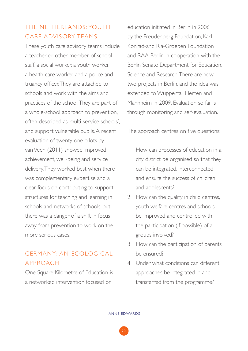## THE NETHERLANDS: YOUTH CARE ADVISORY TEAMS

These youth care advisory teams include a teacher or other member of school staff, a social worker, a youth worker, a health-care worker and a police and truancy officer. They are attached to schools and work with the aims and practices of the school. They are part of a whole-school approach to prevention, often described as 'multi-service schools', and support vulnerable pupils. A recent evaluation of twenty-one pilots by van Veen (2011) showed improved achievement, well-being and service delivery. They worked best when there was complementary expertise and a clear focus on contributing to support structures for teaching and learning in schools and networks of schools, but there was a danger of a shift in focus away from prevention to work on the more serious cases.

## GERMANY: AN ECOLOGIC AL APPROACH

One Square Kilometre of Education is a networked intervention focused on

education initiated in Berlin in 2006 by the Freudenberg Foundation, Karl-Konrad-and Ria-Groeben Foundation and RAA Berlin in cooperation with the Berlin Senate Department for Education, Science and Research. There are now two projects in Berlin, and the idea was extended to Wuppertal, Herten and Mannheim in 2009. Evaluation so far is through monitoring and self-evaluation.

The approach centres on five questions:

- How can processes of education in a city district be organised so that they can be integrated, interconnected and ensure the success of children and adolescents?
- 2 How can the quality in child centres, youth welfare centres and schools be improved and controlled with the participation (if possible) of all groups involved?
- 3 How can the participation of parents be ensured?
- 4 Under what conditions can different approaches be integrated in and transferred from the programme?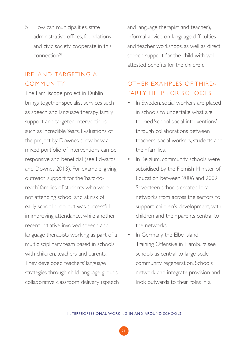5 How can municipalities, state administrative offices foundations and civic society cooperate in this connection?1

## IRELAND: TARGETING A **COMMUNITY**

The Familiscope project in Dublin brings together specialist services such as speech and language therapy, family support and targeted interventions such as Incredible Years. Evaluations of the project by Downes show how a mixed portfolio of interventions can be responsive and beneficial (see Edwards and Downes 2013). For example, giving outreach support for the 'hard-toreach' families of students who were not attending school and at risk of early school drop-out was successful in improving attendance, while another recent initiative involved speech and language therapists working as part of a multidisciplinary team based in schools with children, teachers and parents. They developed teachers' language strategies through child language groups, collaborative classroom delivery (speech

and language therapist and teacher), informal advice on language difficulties and teacher workshops, as well as direct speech support for the child with wellattested benefits for the children.

## OTHER EXAMPLES OF THIRD-PARTY HELP FOR SCHOOLS

- In Sweden, social workers are placed in schools to undertake what are termed 'school social interventions' through collaborations between teachers, social workers, students and their families.
- In Belgium, community schools were subsidised by the Flemish Minister of Education between 2006 and 2009. Seventeen schools created local networks from across the sectors to support children's development, with children and their parents central to the networks.
- In Germany, the Elbe Island Training Offensive in Hamburg see schools as central to large-scale community regeneration. Schools network and integrate provision and look outwards to their roles in a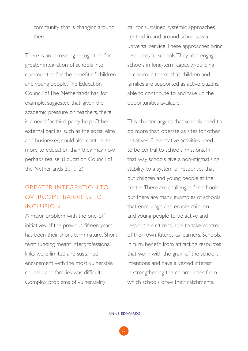community that is changing around them.

There is an increasing recognition for greater integration of schools into communities for the benefit of children and young people. The Education Council of The Netherlands has, for example, suggested that, given the academic pressure on teachers, there is a need for third-party help. 'Other external parties, such as the social elite and businesses, could also contribute more to education than they may now perhaps realise' (Education Council of the Netherlands 2010: 2).

# GREATER INTEGRATION TO OVERCOME BARRIERS TO INCLUSION

A major problem with the one-off initiatives of the previous fifteen years has been their short-term nature. Shortterm funding meant interprofessional links were limited and sustained engagement with the most vulnerable children and families was difficult. Complex problems of vulnerability

call for sustained systemic approaches centred in and around schools as a universal service. These approaches bring resources to schools. They also engage schools in long-term capacity-building in communities so that children and families are supported as active citizens, able to contribute to and take up the opportunities available.

This chapter argues that schools need to do more than operate as sites for other initiatives. Preventative activities need to be central to schools' missions. In that way, schools give a non-stigmatising stability to a system of responses that put children and young people at the centre. There are challenges for schools, but there are many examples of schools that encourage and enable children and young people to be active and responsible citizens, able to take control of their own futures as learners. Schools, in turn, benefit from attracting resources that work with the grain of the school's intentions and have a vested interest in strengthening the communities from which schools draw their catchments.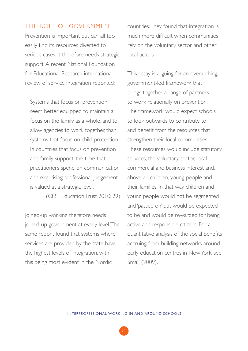### THE ROLE OF GOVERNMENT

Prevention is important but can all too easily find its resources diverted to serious cases. It therefore needs strategic support. A recent National Foundation for Educational Research international review of service integration reported:

Systems that focus on prevention seem better equipped to maintain a focus on the family as a whole, and to allow agencies to work together, than systems that focus on child protection. In countries that focus on prevention and family support, the time that practitioners spend on communication and exercising professional judgement is valued at a strategic level.

(CfBT Education Trust 2010: 29)

Joined-up working therefore needs joined-up government at every level. The same report found that systems where services are provided by the state have the highest levels of integration, with this being most evident in the Nordic

countries. They found that integration is much more difficult when communities rely on the voluntary sector and other local actors.

This essay is arguing for an overarching, government-led framework that brings together a range of partners to work relationally on prevention. The framework would expect schools to look outwards to contribute to and benefit from the resources that strengthen their local communities. These resources would include statutory services, the voluntary sector, local commercial and business interest and, above all, children, young people and their families. In that way, children and young people would not be segmented and 'passed on' but would be expected to be and would be rewarded for being active and responsible citizens. For a quantitative analysis of the social benefits accruing from building networks around early education centres in New York, see Small (2009).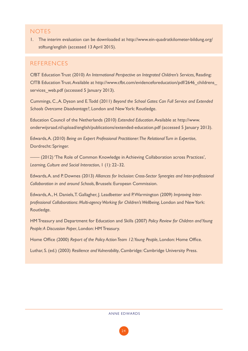### **NOTES**

1. The interim evaluation can be downloaded at http://www.ein-quadratkilometer-bildung.org/ stiftung/english (accessed 13 April 2015).

### **REFERENCES**

CfBT Education Trust (2010) *An International Perspective on Integrated Children's Services,* Reading: CfTB Education Trust. Available at http://www.cfbt.com/evidenceforeducation/pdf/2646\_childrens\_ services web.pdf (accessed 5 January 2013).

Cummings, C., A. Dyson and E. Todd (2011) *Beyond the School Gates: Can Full Service and Extended Schools Overcome Disadvantage?*, London and New York: Routledge.

Education Council of the Netherlands (2010) *Extended Education*. Available at http://www. onderwijsraad.nl/upload/english/publications/extended-education.pdf (accessed 5 January 2013).

Edwards, A. (2010) *Being an Expert Professional Practitioner: The Relational Turn in Expertise*, Dordrecht: Springer.

—— (2012) 'The Role of Common Knowledge in Achieving Collaboration across Practices', *Learning, Culture and Social Interaction*, 1 (1): 22–32.

Edwards, A. and P. Downes (2013) *Alliances for Inclusion: Cross-Sector Synergies and Inter-professional Collaboration in and around Schools*, Brussels: European Commission.

Edwards, A., H. Daniels, T. Gallagher, J. Leadbetter and P. Warmington (2009) *Improving Interprofessional Collaborations: Multi-agency Working for Children's Wellbeing*, London and New York: Routledge.

HM Treasury and Department for Education and Skills (2007) *Policy Review for Children and Young People: A Discussion Paper*, London: HM Treasury.

Home Office (2000) *Report of the Policy Action Team 12: Young People*, London: Home Office.

Luthar, S. (ed.) (2003) *Resilience and Vulnerability*, Cambridge: Cambridge University Press.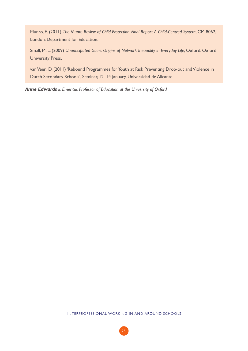Munro, E. (2011) *The Munro Review of Child Protection: Final Report. A Child-Centred System*, CM 8062, London: Department for Education.

Small, M. L. (2009) *Unanticipated Gains: Origins of Network Inequality in Everyday Life*, Oxford: Oxford University Press.

van Veen, D. (2011) 'Rebound Programmes for Youth at Risk Preventing Drop-out and Violence in Dutch Secondary Schools', Seminar, 12–14 January, Universidad de Alicante.

*Anne Edwards is Emeritus Professor of Education at the University of Oxford.*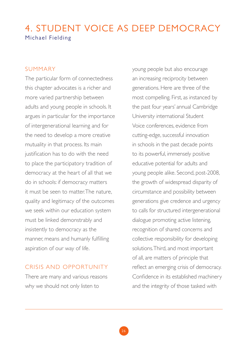# 4. STUDENT VOICE AS DEEP DEMOCRACY Michael Fielding

### SUMMARY

The particular form of connectedness this chapter advocates is a richer and more varied partnership between adults and young people in schools. It argues in particular for the importance of intergenerational learning and for the need to develop a more creative mutuality in that process. Its main justification has to do with the need to place the participatory tradition of democracy at the heart of all that we do in schools: if democracy matters it must be seen to matter. The nature, quality and legitimacy of the outcomes we seek within our education system must be linked demonstrably and insistently to democracy as the manner, means and humanly fulfilling aspiration of our way of life.

### CRISIS AND OPPORTUNITY

There are many and various reasons why we should not only listen to

young people but also encourage an increasing reciprocity between generations. Here are three of the most compelling. First, as instanced by the past four years' annual Cambridge University international Student Voice conferences, evidence from cutting-edge, successful innovation in schools in the past decade points to its powerful, immensely positive educative potential for adults and young people alike. Second, post-2008, the growth of widespread disparity of circumstance and possibility between generations give credence and urgency to calls for structured intergenerational dialogue promoting active listening, recognition of shared concerns and collective responsibility for developing solutions. Third, and most important of all, are matters of principle that reflect an emerging crisis of democracy. Confidence in its established machinery and the integrity of those tasked with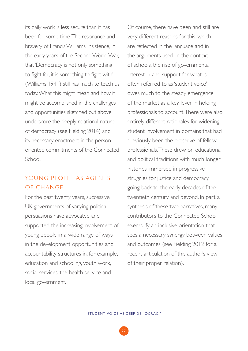its daily work is less secure than it has been for some time. The resonance and bravery of Francis Williams' insistence, in the early years of the Second World War, that 'Democracy is not only something to fight for, it is something to fight with' (Williams 1941) still has much to teach us today. What this might mean and how it might be accomplished in the challenges and opportunities sketched out above underscore the deeply relational nature of democracy (see Fielding 2014) and its necessary enactment in the personoriented commitments of the Connected School.

# YOUNG PEOPLE AS AGENTS OF CHANGE

For the past twenty years, successive UK governments of varying political persuasions have advocated and supported the increasing involvement of young people in a wide range of ways in the development opportunities and accountability structures in, for example, education and schooling, youth work, social services, the health service and local government.

Of course, there have been and still are very different reasons for this, which are reflected in the language and in the arguments used. In the context of schools, the rise of governmental interest in and support for what is often referred to as 'student voice' owes much to the steady emergence of the market as a key lever in holding professionals to account. There were also entirely different rationales for widening student involvement in domains that had previously been the preserve of fellow professionals. These drew on educational and political traditions with much longer histories immersed in progressive struggles for justice and democracy going back to the early decades of the twentieth century and beyond. In part a synthesis of these two narratives, many contributors to the Connected School exemplify an inclusive orientation that sees a necessary synergy between values and outcomes (see Fielding 2012 for a recent articulation of this author's view of their proper relation).

27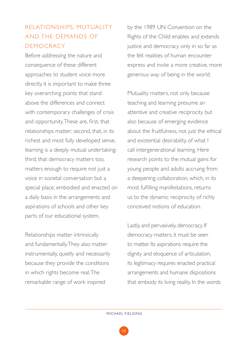# RELATIONSHIPS, MUTUALITY AND THE DEMANDS OF DEMOCRACY

Before addressing the nature and consequence of these different approaches to student voice more directly, it is important to make three key overarching points that stand above the differences and connect with contemporary challenges of crisis and opportunity. These are, first, that relationships matter; second, that, in its richest and most fully developed sense, learning is a deeply mutual undertaking; third, that democracy matters too, matters enough to require not just a voice in societal conversation but a special place, embodied and enacted on a daily basis in the arrangements and aspirations of schools and other key parts of our educational system.

Relationships matter intrinsically and fundamentally. They also matter instrumentally, quietly and necessarily because they provide the conditions in which rights become real. The remarkable range of work inspired

by the 1989 UN Convention on the Rights of the Child enables and extends justice and democracy only in so far as the felt realities of human encounter express and invite a more creative, more generous way of being in the world.

Mutuality matters, not only because teaching and learning presume an attentive and creative reciprocity but also because of emerging evidence about the fruitfulness, not just the ethical and existential desirability, of what I call intergenerational learning. Here research points to the mutual gains for young people and adults accruing from a deepening collaboration, which, in its most fulfilling manifestations, returns us to the dynamic reciprocity of richly conceived notions of education.

Lastly, and pervasively, democracy. If democracy matters, it must be seen to matter. Its aspirations require the dignity and eloquence of articulation; its legitimacy requires enacted practical arrangements and humane dispositions that embody its living reality. In the words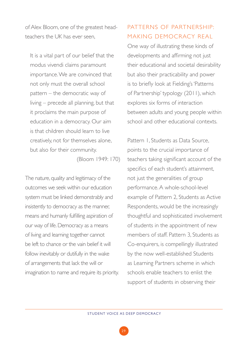of Alex Bloom, one of the greatest headteachers the UK has ever seen,

It is a vital part of our belief that the modus vivendi claims paramount importance. We are convinced that not only must the overall school pattern – the democratic way of living – precede all planning, but that it proclaims the main purpose of education in a democracy. Our aim is that children should learn to live creatively, not for themselves alone, but also for their community.

(Bloom 1949: 170)

The nature, quality and legitimacy of the outcomes we seek within our education system must be linked demonstrably and insistently to democracy as the manner, means and humanly fulfilling aspiration of our way of life. Democracy as a means of living and learning together cannot be left to chance or the vain belief it will follow inevitably or dutifully in the wake of arrangements that lack the will or imagination to name and require its priority.

## PATTERNS OF PARTNERSHIP: MAKING DEMOCRACY REAL

One way of illustrating these kinds of developments and affirming not just their educational and societal desirability but also their practicability and power is to briefly look at Fielding's 'Patterns of Partnership' typology (2011), which explores six forms of interaction between adults and young people within school and other educational contexts.

Pattern 1, Students as Data Source, points to the crucial importance of teachers taking significant account of the specifics of each student's attainment, not just the generalities of group performance. A whole-school-level example of Pattern 2, Students as Active Respondents, would be the increasingly thoughtful and sophisticated involvement of students in the appointment of new members of staff. Pattern 3, Students as Co-enquirers, is compellingly illustrated by the now well-established Students as Learning Partners scheme in which schools enable teachers to enlist the support of students in observing their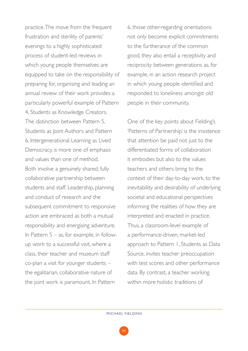practice. The move from the frequent frustration and sterility of parents' evenings to a highly sophisticated process of student-led reviews in which young people themselves are equipped to take on the responsibility of preparing for, organising and leading an annual review of their work provides a particularly powerful example of Pattern 4, Students as Knowledge Creators. The distinction between Pattern 5, Students as Joint Authors and Pattern 6, Intergenerational Learning as Lived Democracy, is more one of emphasis and values than one of method. Both involve a genuinely shared, fully collaborative partnership between students and staff. Leadership, planning and conduct of research and the subsequent commitment to responsive action are embraced as both a mutual responsibility and energising adventure. In Pattern  $5 - as$ , for example, in followup work to a successful visit, where a class, their teacher and museum staff co-plan a visit for younger students – the egalitarian, collaborative nature of the joint work is paramount. In Pattern

6, those other-regarding orientations not only become explicit commitments to the furtherance of the common good, they also entail a receptivity and reciprocity between generations as, for example, in an action research project in which young people identified and responded to loneliness amongst old people in their community.

One of the key points about Fielding's 'Patterns of Partnership' is the insistence that attention be paid not just to the differentiated forms of collaboration it embodies but also to the values teachers and others bring to the context of their day-to-day work, to the inevitability and desirability of underlying societal and educational perspectives informing the realities of how they are interpreted and enacted in practice. Thus, a classroom-level example of a performance-driven, market-led approach to Pattern 1, Students as Data Source, invites teacher preoccupation with test scores and other performance data. By contrast, a teacher working within more holistic traditions of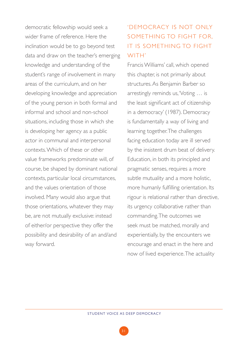democratic fellowship would seek a wider frame of reference. Here the inclination would be to go beyond test data and draw on the teacher's emerging knowledge and understanding of the student's range of involvement in many areas of the curriculum, and on her developing knowledge and appreciation of the young person in both formal and informal and school and non-school situations, including those in which she is developing her agency as a public actor in communal and interpersonal contexts. Which of these or other value frameworks predominate will, of course, be shaped by dominant national contexts, particular local circumstances, and the values orientation of those involved. Many would also argue that those orientations, whatever they may be, are not mutually exclusive: instead of either/or perspective they offer the possibility and desirability of an and/and way forward.

# 'DEMOCRACY IS NOT ONLY SOMETHING TO FIGHT FOR IT IS SOMETHING TO FIGHT WITH'

Francis Williams' call, which opened this chapter, is not primarily about structures. As Benjamin Barber so arrestingly reminds us, 'Voting … is the least significant act of citizenship in a democracy' (1987). Democracy is fundamentally a way of living and learning together. The challenges facing education today are ill served by the insistent drum beat of delivery. Education, in both its principled and pragmatic senses, requires a more subtle mutuality and a more holistic, more humanly fulfilling orientation. Its rigour is relational rather than directive, its urgency collaborative rather than commanding. The outcomes we seek must be matched, morally and experientially, by the encounters we encourage and enact in the here and now of lived experience. The actuality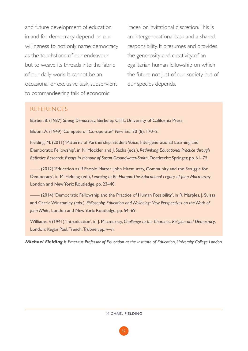and future development of education in and for democracy depend on our willingness to not only name democracy as the touchstone of our endeavour but to weave its threads into the fabric of our daily work. It cannot be an occasional or exclusive task, subservient to commandeering talk of economic

'races' or invitational discretion. This is an intergenerational task and a shared responsibility. It presumes and provides the generosity and creativity of an egalitarian human fellowship on which the future not just of our society but of our species depends.

### **REFERENCES**

Barber, B. (1987) *Strong Democracy*, Berkeley, Calif.: University of California Press.

Bloom, A. (1949) 'Compete or Co-operate?' *New Era*, 30 (8): 170–2.

Fielding, M. (2011) 'Patterns of Partnership: Student Voice, Intergenerational Learning and Democratic Fellowship', in N. Mockler and J. Sachs (eds.), *Rethinking Educational Practice through Reflexive Research: Essays in Honour of Susan Groundwater-Smith*, Dordrecht: Springer, pp. 61–75.

—— (2012) 'Education as If People Matter: John Macmurray, Community and the Struggle for Democracy', in M. Fielding (ed.), *Learning to Be Human: The Educational Legacy of John Macmurray*, London and New York: Routledge, pp. 23–40.

—— (2014) 'Democratic Fellowship and the Practice of Human Possibility', in R. Marples, J. Suissa and Carrie Winstanley (eds.), *Philosophy, Education and Wellbeing: New Perspectives on the Work of John White*, London and New York: Routledge, pp. 54–69.

Williams, F. (1941) 'Introduction', in J. Macmurray, *Challenge to the Churches: Religion and Democracy*, London: Kegan Paul, Trench, Trubner, pp. v–vi.

*Michael Fielding is Emeritus Professor of Education at the Institute of Education, University College London.*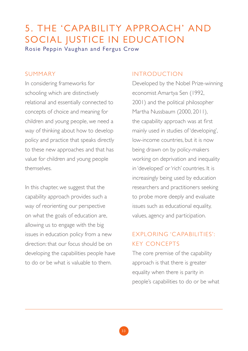# 5. THE 'CAPABILITY APPROACH' AND SOCIAL JUSTICE IN EDUCATION

Rosie Peppin Vaughan and Fergus Crow

### SUMMARY

In considering frameworks for schooling which are distinctively relational and essentially connected to concepts of choice and meaning for children and young people, we need a way of thinking about how to develop policy and practice that speaks directly to these new approaches and that has value for children and young people themselves.

In this chapter, we suggest that the capability approach provides such a way of reorienting our perspective on what the goals of education are, allowing us to engage with the big issues in education policy from a new direction: that our focus should be on developing the capabilities people have to do or be what is valuable to them.

### INTRODUCTION

Developed by the Nobel Prize-winning economist Amartya Sen (1992, 2001) and the political philosopher Martha Nussbaum (2000, 2011), the capability approach was at first mainly used in studies of 'developing', low-income countries, but it is now being drawn on by policy-makers working on deprivation and inequality in 'developed' or 'rich' countries. It is increasingly being used by education researchers and practitioners seeking to probe more deeply and evaluate issues such as educational equality, values, agency and participation.

# EXPLORING 'C APABILITIES': KEY CONCEPTS

The core premise of the capability approach is that there is greater equality when there is parity in people's capabilities to do or be what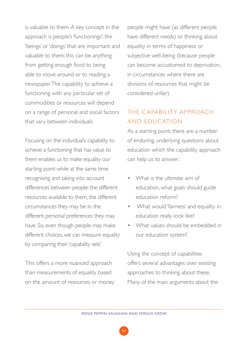is valuable to them. A key concept in the approach is people's 'functionings': the 'beings' or 'doings' that are important and valuable to them; this can be anything from getting enough food to being able to move around or to reading a newspaper. The capability to achieve a functioning with any particular set of commodities or resources will depend on a range of personal and social factors that vary between individuals.

Focusing on the individual's capability to achieve a functioning that has value to them enables us to make equality our starting point while at the same time recognising and taking into account differences between people: the different resources available to them, the different circumstances they may be in, the different personal preferences they may have. So, even though people may make different choices, we can measure equality by comparing their 'capability sets'.

This offers a more nuanced approach than measurements of equality based on the amount of resources or money people might have (as different people have different needs) or thinking about equality in terms of happiness or subjective well-being (because people can become accustomed to deprivation, in circumstances where there are divisions of resources that might be considered unfair).

# THE CAPABILITY APPROACH AND EDUC ATION

As a starting point, there are a number of enduring, underlying questions about education which the capability approach can help us to answer:

- What is the ultimate aim of education, what goals should guide education reform?
- What would 'fairness' and equality in education really look like?
- What values should be embedded in our education system?

Using the concept of capabilities offers several advantages over existing approaches to thinking about these. Many of the main arguments about the

34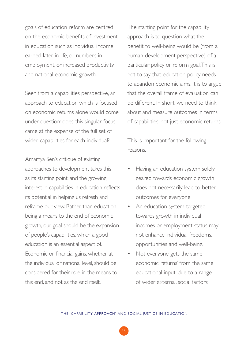goals of education reform are centred on the economic benefits of investment in education such as individual income earned later in life, or numbers in employment, or increased productivity and national economic growth.

Seen from a capabilities perspective, an approach to education which is focused on economic returns alone would come under question: does this singular focus came at the expense of the full set of wider capabilities for each individual?

Amartya Sen's critique of existing approaches to development takes this as its starting point, and the growing interest in capabilities in education reflects its potential in helping us refresh and reframe our view. Rather than education being a means to the end of economic growth, our goal should be the expansion of people's capabilities, which a good education is an essential aspect of. Economic or financial gains, whether at the individual or national level, should be considered for their role in the means to this end, and not as the end itself:.

The starting point for the capability approach is to question what the benefit to well-being would be (from a human-development perspective) of a particular policy or reform goal. This is not to say that education policy needs to abandon economic aims, it is to argue that the overall frame of evaluation can be different. In short, we need to think about and measure outcomes in terms of capabilities, not just economic returns.

This is important for the following reasons.

- Having an education system solely geared towards economic growth does not necessarily lead to better outcomes for everyone.
- An education system targeted towards growth in individual incomes or employment status may not enhance individual freedoms, opportunities and well-being.
- Not everyone gets the same economic 'returns' from the same educational input, due to a range of wider external, social factors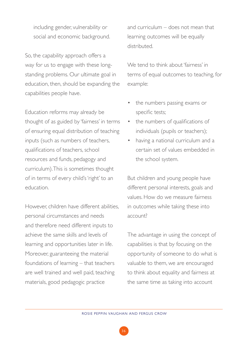including gender, vulnerability or social and economic background.

So, the capability approach offers a way for us to engage with these longstanding problems. Our ultimate goal in education, then, should be expanding the capabilities people have.

Education reforms may already be thought of as guided by 'fairness' in terms of ensuring equal distribution of teaching inputs (such as numbers of teachers, qualifications of teachers, school resources and funds, pedagogy and curriculum). This is sometimes thought of in terms of every child's 'right' to an education.

However, children have different abilities, personal circumstances and needs and therefore need different inputs to achieve the same skills and levels of learning and opportunities later in life. Moreover, guaranteeing the material foundations of learning – that teachers are well trained and well paid, teaching materials, good pedagogic practice

and curriculum – does not mean that learning outcomes will be equally distributed.

We tend to think about 'fairness' in terms of equal outcomes to teaching, for example:

- the numbers passing exams or specific tests;
- the numbers of qualifications of individuals (pupils or teachers);
- having a national curriculum and a certain set of values embedded in the school system.

But children and young people have different personal interests, goals and values. How do we measure fairness in outcomes while taking these into account?

The advantage in using the concept of capabilities is that by focusing on the opportunity of someone to do what is valuable to them, we are encouraged to think about equality and fairness at the same time as taking into account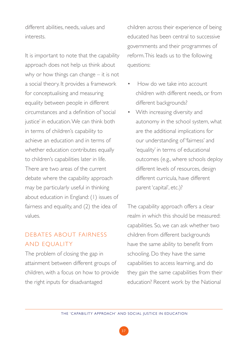different abilities, needs, values and interests.

It is important to note that the capability approach does not help us think about why or how things can change – it is not a social theory. It provides a framework for conceptualising and measuring equality between people in different circumstances and a definition of 'social justice' in education. We can think both in terms of children's capability to achieve an education and in terms of whether education contributes equally to children's capabilities later in life. There are two areas of the current debate where the capability approach may be particularly useful in thinking about education in England: (1) issues of fairness and equality, and (2) the idea of values.

## DEBATES ABOUT FAIRNESS AND EQUALITY

The problem of closing the gap in attainment between different groups of children, with a focus on how to provide the right inputs for disadvantaged

children across their experience of being educated has been central to successive governments and their programmes of reform. This leads us to the following questions:

- How do we take into account children with different needs, or from different backgrounds?
- With increasing diversity and autonomy in the school system, what are the additional implications for our understanding of 'fairness' and 'equality' in terms of educational outcomes (e.g., where schools deploy different levels of resources, design different curricula, have different parent 'capital', etc.)?

The capability approach offers a clear realm in which this should be measured: capabilities. So, we can ask whether two children from different backgrounds have the same ability to benefit from schooling. Do they have the same capabilities to access learning, and do they gain the same capabilities from their education? Recent work by the National

37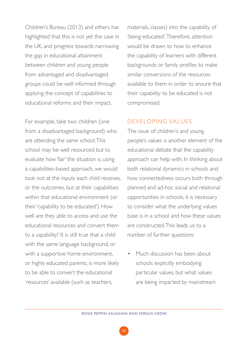Children's Bureau (2013) and others has highlighted that this is not yet the case in the UK, and progress towards narrowing the gap in educational attainment between children and young people from advantaged and disadvantaged groups could be well informed through applying the concept of capabilities to educational reforms and their impact.

For example, take two children (one from a disadvantaged background) who are attending the same school. This school may be well resourced but to evaluate how 'fair' the situation is, using a capabilities-based approach, we would look not at the inputs each child receives, or the outcomes, but at their capabilities within that educational environment (or their 'capability to be educated'). How well are they able to access and use the educational resources and convert them to a capability? It is still true that a child with the same language background, or with a supportive home environment, or highly educated parents, is more likely to be able to convert the educational 'resources' available (such as teachers,

materials, classes) into the capability of 'being educated'. Therefore, attention would be drawn to how to enhance the capability of learners with different backgrounds or family profiles to make similar conversions of the resources available to them in order to ensure that their capability to be educated is not compromised.

### DEVELOPING VALUES

The issue of children's and young people's values is another element of the educational debate that the capability approach can help with. In thinking about both relational dynamics in schools and how connectedness occurs both through planned and ad-hoc social and relational opportunities in schools, it is necessary to consider what the underlying values base is in a school and how these values are constructed. This leads us to a number of further questions:

Much discussion has been about schools explicitly embodying particular values, but what values are being imparted by mainstream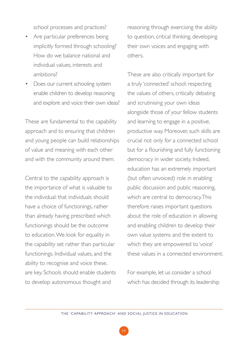school processes and practices?

- Are particular preferences being implicitly formed through schooling? How do we balance national and individual values, interests and ambitions?
- Does our current schooling system enable children to develop reasoning and explore and voice their own ideas?

These are fundamental to the capability approach and to ensuring that children and young people can build relationships of value and meaning with each other and with the community around them.

Central to the capability approach is the importance of what is valuable to the individual: that individuals should have a choice of functionings, rather than already having prescribed which functionings should be the outcome to education. We look for equality in the capability set rather than particular functionings. Individual values, and the ability to recognise and voice these, are key. Schools should enable students to develop autonomous thought and

reasoning through exercising the ability to question, critical thinking, developing their own voices and engaging with others.

These are also critically important for a truly 'connected' school: respecting the values of others, critically debating and scrutinising your own ideas alongside those of your fellow students and learning to engage in a positive, productive way. Moreover, such skills are crucial not only for a connected school but for a flourishing and fully functioning democracy in wider society. Indeed, education has an extremely important (but often unvoiced) role in enabling public discussion and public reasoning, which are central to democracy. This therefore raises important questions about the role of education in allowing and enabling children to develop their own value systems and the extent to which they are empowered to 'voice' these values in a connected environment.

For example, let us consider a school which has decided through its leadership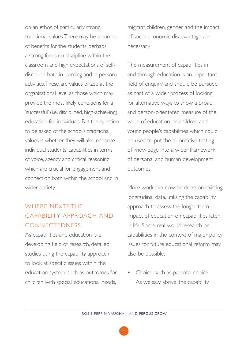on an ethos of particularly strong, traditional values. There may be a number of benefits for the students: perhaps a strong focus on discipline within the classroom and high expectations of selfdiscipline both in learning and in personal activities. These are values prized at the organisational level as those which may provide the most likely conditions for a 'successful' (i.e. disciplined, high-achieving) education for individuals. But the question to be asked of the school's traditional values is whether they will also enhance individual students' capabilities in terms of voice, agency and critical reasoning which are crucial for engagement and connection both within the school and in wider society.

# WHERE NEXT? THE C APABILITY APPROACH AND CONNECTEDNESS

As capabilities and education is a developing field of research, detailed studies using the capability approach to look at specific issues within the education system, such as outcomes for children with special educational needs,

migrant children, gender and the impact of socio-economic disadvantage are necessary.

The measurement of capabilities in and through education is an important field of enquiry and should be pursued as part of a wider process of looking for alternative ways to show a broad and person-orientated measure of the value of education on children and young people's capabilities which could be used to put the summative testing of knowledge into a wider framework of personal and human development outcomes.

More work can now be done on existing longitudinal data, utilising the capability approach to assess the longer-term impact of education on capabilities later in life. Some real-world research on capabilities in the context of major policy issues for future educational reform may also be possible.

• Choice, such as parental choice. As we saw above, the capability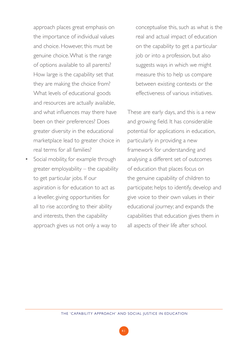approach places great emphasis on the importance of individual values and choice. However, this must be genuine choice. What is the range of options available to all parents? How large is the capability set that they are making the choice from? What levels of educational goods and resources are actually available, and what influences may there have been on their preferences? Does greater diversity in the educational marketplace lead to greater choice in real terms for all families?

• Social mobility, for example through greater employability – the capability to get particular jobs. If our aspiration is for education to act as a leveller, giving opportunities for all to rise according to their ability and interests, then the capability approach gives us not only a way to

conceptualise this, such as what is the real and actual impact of education on the capability to get a particular job or into a profession, but also suggests ways in which we might measure this to help us compare between existing contexts or the effectiveness of various initiatives.

These are early days, and this is a new and growing field. It has considerable potential for applications in education, particularly in providing a new framework for understanding and analysing a different set of outcomes of education that places focus on the genuine capability of children to participate; helps to identify, develop and give voice to their own values in their educational journey; and expands the capabilities that education gives them in all aspects of their life after school.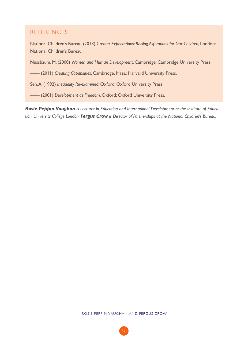### REFERENCES

National Children's Bureau (2013) *Greater Expectations: Raising Aspirations for Our Children*, London: National Children's Bureau.

Nussbaum, M. (2000) *Women and Human Development*, Cambridge: Cambridge University Press.

—— (2011) *Creating Capabilities*, Cambridge, Mass.: Harvard University Press.

Sen, A. (1992) *Inequality Re-examined*, Oxford: Oxford University Press.

—— (2001) *Development as Freedom*, Oxford: Oxford University Press.

*Rosie Peppin Vaughan is Lecturer in Education and International Development at the Institute of Education, University College London. Fergus Crow is Director of Partnerships at the National Children's Bureau.*

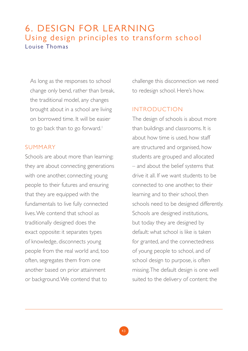# 6. DESIGN FOR LEARNING Using design principles to transform school Louise Thomas

As long as the responses to school change only bend, rather than break, the traditional model, any changes brought about in a school are living on borrowed time. It will be easier to go back than to go forward.<sup>1</sup>

### SUMMARY

Schools are about more than learning: they are about connecting generations with one another, connecting young people to their futures and ensuring that they are equipped with the fundamentals to live fully connected lives. We contend that school as traditionally designed does the exact opposite: it separates types of knowledge, disconnects young people from the real world and, too often, segregates them from one another based on prior attainment or background. We contend that to

challenge this disconnection we need to redesign school. Here's how.

#### INTRODUCTION

The design of schools is about more than buildings and classrooms. It is about how time is used, how staff are structured and organised, how students are grouped and allocated – and about the belief systems that drive it all. If we want students to be connected to one another, to their learning and to their school, then schools need to be designed differently. Schools are designed institutions, but today they are designed by default: what school is like is taken for granted, and the connectedness of young people to school, and of school design to purpose, is often missing. The default design is one well suited to the delivery of content: the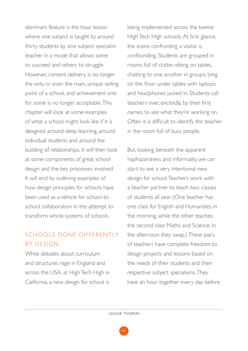dominant feature is the hour lesson where one subject is taught to around thirty students by one subject specialist teacher in a mode that allows some to succeed and others to struggle. However, content delivery is no longer the only, or even the main, unique selling point of a school, and achievement only for some is no longer acceptable. This chapter will look at some examples of what a school might look like if it is designed around deep learning, around individual students and around the building of relationships. It will then look at some components of great school design and the key processes involved. It will end by outlining examples of how design principles for schools have been used as a vehicle for school-toschool collaboration in the attempt to transform whole systems of schools.

# SCHOOLS DONE DIFFERENTLY BY DESIGN

While debates about curriculum and structures rage in England and across the USA, at High Tech High in California, a new design for school is being implemented across the twelve High Tech High schools. At first glance, the scene confronting a visitor is confounding. Students are grouped in rooms full of clutter, sitting on tables, chatting to one another in groups, lying on the floor under tables with laptops and headphones jacked in. Students call teachers over, excitedly, by their first names, to see what they're working on. Often it is difficult to identify the teacher in the room full of busy people.

But, looking beneath the apparent haphazardness and informality, we can start to see a very intentional new design for school. Teachers work with a teacher partner to teach two classes of students all year. (One teacher has one class for English and Humanities in the morning, while the other teaches the second class Maths and Science. In the afternoon they swap.) These pairs of teachers have complete freedom to design projects and lessons based on the needs of their students and their respective subject specialisms. They have an hour together every day before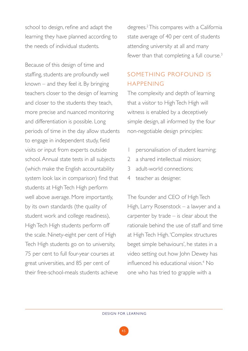school to design, refine and adapt the learning they have planned according to the needs of individual students.

Because of this design of time and staffing, students are profoundly well known – and they feel it. By bringing teachers closer to the design of learning and closer to the students they teach, more precise and nuanced monitoring and differentiation is possible. Long periods of time in the day allow students to engage in independent study, field visits or input from experts outside school. Annual state tests in all subjects (which make the English accountability system look lax in comparison) find that students at High Tech High perform well above average. More importantly, by its own standards (the quality of student work and college readiness), High Tech High students perform off the scale. Ninety-eight per cent of High Tech High students go on to university, 75 per cent to full four-year courses at great universities, and 85 per cent of their free-school-meals students achieve

degrees.2 This compares with a California state average of 40 per cent of students attending university at all and many fewer than that completing a full course.<sup>3</sup>

### SOMETHING PROFOUND IS HAPPENING

The complexity and depth of learning that a visitor to High Tech High will witness is enabled by a deceptively simple design, all informed by the four non-negotiable design principles:

- personalisation of student learning;
- 2 a shared intellectual mission;
- 3 adult-world connections;
- 4 teacher as designer.

The founder and CEO of High Tech High, Larry Rosenstock – a lawyer and a carpenter by trade – is clear about the rationale behind the use of staff and time at High Tech High. 'Complex structures beget simple behaviours', he states in a video setting out how John Dewey has influenced his educational vision.<sup>4</sup> No one who has tried to grapple with a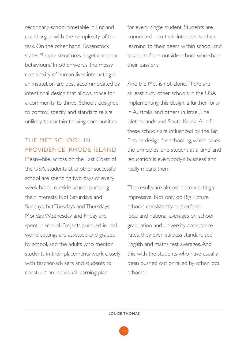secondary-school timetable in England could argue with the complexity of the task. On the other hand, Rosenstock states, 'Simple structures beget complex behaviours.' In other words, the messy complexity of human lives interacting in an institution are best accommodated by intentional design that allows space for a community to thrive. Schools designed to control, specify and standardise are unlikely to contain thriving communities.

# THE MET SCHOOL IN PROVIDENCE, RHODE ISLAND

Meanwhile, across on the East Coast of the USA, students at another successful school are spending two days of every week based outside school pursuing their interests. Not Saturdays and Sundays, but Tuesdays and Thursdays. Monday, Wednesday and Friday are spent in school. Projects pursued in realworld settings are assessed and graded by school, and the adults who mentor students in their placements work closely with teacher-advisers and students to construct an individual learning plan

for every single student. Students are connected – to their interests, to their learning, to their peers within school and to adults from outside school who share their passions.

And the Met is not alone. There are at least sixty other schools in the USA implementing this design, a further forty in Australia and others in Israel, The Netherlands and South Korea. All of these schools are influenced by the Big Picture design for schooling, which takes the principles 'one student at a time' and 'education is everybody's business' and really means them.

The results are almost disconcertingly impressive. Not only do Big Picture schools consistently outperform local and national averages on school graduation and university acceptance rates, they even surpass standardised English and maths test averages. And this with the students who have usually been pushed out or failed by other local schools $5$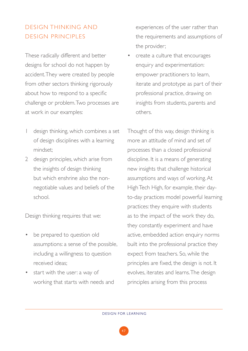# DESIGN THINKING AND DESIGN PRINCIPLES

These radically different and better designs for school do not happen by accident. They were created by people from other sectors thinking rigorously about how to respond to a specific challenge or problem. Two processes are at work in our examples:

- design thinking, which combines a set of design disciplines with a learning mindset;
- 2 design principles, which arise from the insights of design thinking but which enshrine also the nonnegotiable values and beliefs of the school.

Design thinking requires that we:

- be prepared to question old assumptions: a sense of the possible, including a willingness to question received ideas;
- start with the user: a way of working that starts with needs and

experiences of the user rather than the requirements and assumptions of the provider;

• create a culture that encourages enquiry and experimentation: empower practitioners to learn, iterate and prototype as part of their professional practice, drawing on insights from students, parents and others.

Thought of this way, design thinking is more an attitude of mind and set of processes than a closed professional discipline. It is a means of generating new insights that challenge historical assumptions and ways of working. At High Tech High, for example, their dayto-day practices model powerful learning practices: they enquire with students as to the impact of the work they do, they constantly experiment and have active, embedded action enquiry norms built into the professional practice they expect from teachers. So, while the principles are fixed, the design is not. It evolves, iterates and learns. The design principles arising from this process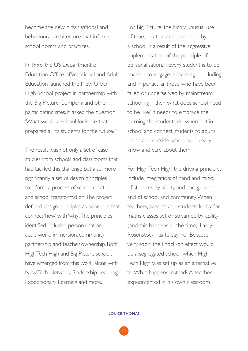become the new organisational and behavioural architecture that informs school norms and practices.

In 1996, the US Department of Education Office of Vocational and Adult Education launched the New Urban High School project in partnership with the Big Picture Company and other participating sites. It asked the question, 'What would a school look like that prepared all its students for the future?'6

The result was not only a set of case studies from schools and classrooms that had tackled this challenge but also, more significantly, a set of design principles to inform a process of school creation and school transformation. The project defined design principles as principles that connect 'how' with 'why'. The principles identified included personalisation, adult-world immersion, community partnership and teacher ownership. Both High Tech High and Big Picture schools have emerged from this work, along with New Tech Network, Rocketship Learning, Expeditionary Learning and more.

For Big Picture, the highly unusual use of time, location and personnel by a school is a result of the 'aggressive implementation' of the principle of personalisation. If every student is to be enabled to engage in learning – including and in particular those who have been failed or underserved by mainstream schooling – then what does school need to be like? It needs to embrace the learning the students do when not in school and connect students to adults inside and outside school who really know and care about them.

For High Tech High, the driving principles include integration: of hand and mind, of students by ability and background and of school and community. When teachers, parents and students lobby for maths classes set or streamed by ability (and this happens all the time), Larry Rosenstock has to say 'no'. Because, very soon, the knock-on effect would be a segregated school, which High Tech High was set up as an alternative to. What happens instead? A teacher experimented in his own classroom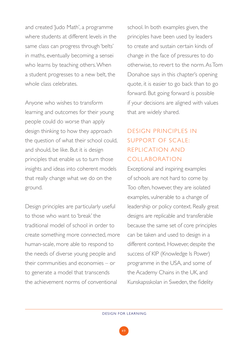and created 'Judo Math', a programme where students at different levels in the same class can progress through 'belts' in maths, eventually becoming a sensei who learns by teaching others. When a student progresses to a new belt, the whole class celebrates.

Anyone who wishes to transform learning and outcomes for their young people could do worse than apply design thinking to how they approach the question of what their school could, and should, be like. But it is design principles that enable us to turn those insights and ideas into coherent models that really change what we do on the ground.

Design principles are particularly useful to those who want to 'break' the traditional model of school in order to create something more connected, more human-scale, more able to respond to the needs of diverse young people and their communities and economies – or to generate a model that transcends the achievement norms of conventional

school. In both examples given, the principles have been used by leaders to create and sustain certain kinds of change in the face of pressures to do otherwise, to revert to the norm. As Tom Donahoe says in this chapter's opening quote, it is easier to go back than to go forward. But going forward is possible if your decisions are aligned with values that are widely shared.

# DESIGN PRINCIPLES IN SUPPORT OF SCALE: REPLIC ATION AND COLLABORATION

Exceptional and inspiring examples of schools are not hard to come by. Too often, however, they are isolated examples, vulnerable to a change of leadership or policy context. Really great designs are replicable and transferable because the same set of core principles can be taken and used to design in a different context. However, despite the success of KIP (Knowledge Is Power) programme in the USA, and some of the Academy Chains in the UK, and Kunskapsskolan in Sweden, the fidelity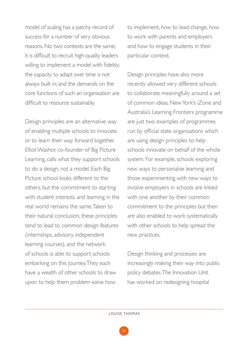model of scaling has a patchy record of success for a number of very obvious reasons. No two contexts are the same; it is difficult to recruit high-quality leaders willing to implement a model with fidelity; the capacity to adapt over time is not always built in; and the demands on the core functions of such an organisation are difficult to resource sustainably.

Design principles are an alternative way of enabling multiple schools to innovate or to learn their way forward together. Elliot Washor, co-founder of Big Picture Learning, calls what they support schools to do a design, not a model. Each Big Picture school looks different to the others, but the commitment to starting with student interests and learning in the real world remains the same. Taken to their natural conclusion, these principles tend to lead to common design features (internships, advisory, independent learning courses), and the network of schools is able to support schools embarking on this journey. They each have a wealth of other schools to draw upon to help them problem-solve how

to implement, how to lead change, how to work with parents and employers and how to engage students in their particular context.

Design principles have also more recently allowed very different schools to collaborate meaningfully around a set of common ideas. New York's iZone and Australia's Learning Frontiers programme are just two examples of programmes run by official state organisations which are using design principles to help schools innovate on behalf of the whole system. For example, schools exploring new ways to personalise learning and those experimenting with new ways to involve employers in schools are linked with one another by their common commitment to the principles but then are also enabled to work systematically with other schools to help spread the new practices.

Design thinking and processes are increasingly making their way into public policy debates. The Innovation Unit has worked on redesigning hospital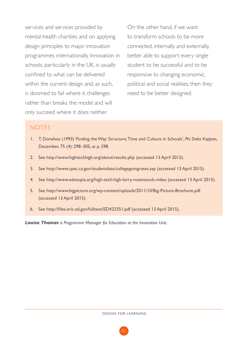services and services provided by mental-health charities and on applying design principles to major innovation programmes internationally. Innovation in schools, particularly in the UK, is usually confined to what can be delivered within the current design and, as such, is doomed to fail where it challenges rather than breaks the model and will only succeed where it does neither.

On the other hand, if we want to transform schools to be more connected, internally and externally, better able to support every single student to be successful and to be responsive to changing economic, political and social realities, then they need to be better designed.

#### **NOTES**

- 1. T. Donahoe (1993) 'Finding the Way: Structure, Time and Culture in Schools', *Phi Delta Kappan*, December, 75 (4): 298–305, at p. 298.
- 2. See http://www.hightechhigh.org/about/results.php (accessed 13 April 2015).
- 3. See http://www.cpec.ca.gov/studentdata/collegegoingrates.asp (accessed 13 April 2015).
- 4. See http://www.edutopia.org/high-tech-high-larry-rosenstock-video (accessed 13 April 2015).
- 5. See http://www.bigpicture.org/wp-content/uploads/2011/10/Big-Picture-Brochure.pdf (accessed 13 April 2015).
- 6. See http://files.eric.ed.gov/fulltext/ED423351.pdf (accessed 13 April 2015).

*Louise Thomas is Programme Manager for Education at the Innovation Unit.*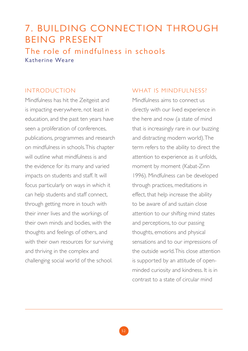# 7. BUILDING CONNECTION THROUGH BEING PRESENT The role of mindfulness in schools Katherine Weare

### INTRODUCTION

Mindfulness has hit the Zeitgeist and is impacting everywhere, not least in education, and the past ten years have seen a proliferation of conferences, publications, programmes and research on mindfulness in schools. This chapter will outline what mindfulness is and the evidence for its many and varied impacts on students and staff. It will focus particularly on ways in which it can help students and staff connect, through getting more in touch with their inner lives and the workings of their own minds and bodies, with the thoughts and feelings of others, and with their own resources for surviving and thriving in the complex and challenging social world of the school.

### WHAT IS MINDFULNESS?

Mindfulness aims to connect us directly with our lived experience in the here and now (a state of mind that is increasingly rare in our buzzing and distracting modern world). The term refers to the ability to direct the attention to experience as it unfolds, moment by moment (Kabat-Zinn 1996). Mindfulness can be developed through practices, meditations in effect, that help increase the ability to be aware of and sustain close attention to our shifting mind states and perceptions, to our passing thoughts, emotions and physical sensations and to our impressions of the outside world. This close attention is supported by an attitude of openminded curiosity and kindness. It is in contrast to a state of circular mind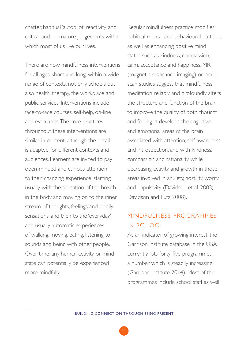chatter, habitual 'autopilot' reactivity and critical and premature judgements within which most of us live our lives.

There are now mindfulness interventions for all ages, short and long, within a wide range of contexts, not only schools but also health, therapy, the workplace and public services. Interventions include face-to-face courses, self-help, on-line and even apps. The core practices throughout these interventions are similar in content, although the detail is adapted for different contexts and audiences. Learners are invited to pay open-minded and curious attention to their changing experience, starting usually with the sensation of the breath in the body and moving on to the inner stream of thoughts, feelings and bodily sensations, and then to the 'everyday' and usually automatic experiences of walking, moving, eating, listening to sounds and being with other people. Over time, any human activity or mind state can potentially be experienced more mindfully.

Regular mindfulness practice modifies habitual mental and behavioural patterns as well as enhancing positive mind states such as kindness, compassion, calm, acceptance and happiness. MRI (magnetic resonance imaging) or brainscan studies suggest that mindfulness meditation reliably and profoundly alters the structure and function of the brain to improve the quality of both thought and feeling. It develops the cognitive and emotional areas of the brain associated with attention, self-awareness and introspection, and with kindness, compassion and rationality, while decreasing activity and growth in those areas involved in anxiety, hostility, worry and impulsivity (Davidson et al. 2003; Davidson and Lutz 2008).

### MINDFULNESS PROGRAMMES IN SCHOOL

As an indicator of growing interest, the Garrison Institute database in the USA currently lists forty-five programmes, a number which is steadily increasing (Garrison Institute 2014). Most of the programmes include school staff as well

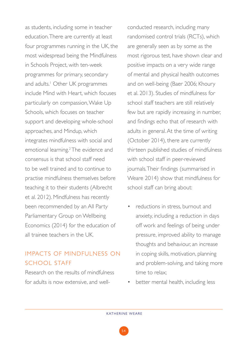as students, including some in teacher education. There are currently at least four programmes running in the UK, the most widespread being the Mindfulness in Schools Project, with ten-week programmes for primary, secondary and adults.1 Other UK programmes include Mind with Heart, which focuses particularly on compassion, Wake Up Schools, which focuses on teacher support and developing whole-school approaches, and Mindup, which integrates mindfulness with social and emotional learning.2 The evidence and consensus is that school staff need to be well trained and to continue to practise mindfulness themselves before teaching it to their students (Albrecht et al. 2012). Mindfulness has recently been recommended by an All Party Parliamentary Group on Wellbeing Economics (2014) for the education of all trainee teachers in the UK.

# IMPACTS OF MINDFULNESS ON SCHOOL STAFF

Research on the results of mindfulness for adults is now extensive, and wellconducted research, including many randomised control trials (RCTs), which are generally seen as by some as the most rigorous test, have shown clear and positive impacts on a very wide range of mental and physical health outcomes and on well-being (Baer 2006; Khoury et al. 2013). Studies of mindfulness for school staff teachers are still relatively few but are rapidly increasing in number, and findings echo that of research with adults in general. At the time of writing (October 2014), there are currently thirteen published studies of mindfulness with school staff in peer-reviewed journals. Their findings (summarised in Weare 2014) show that mindfulness for school staff can bring about:

- reductions in stress, burnout and anxiety, including a reduction in days off work and feelings of being under pressure, improved ability to manage thoughts and behaviour, an increase in coping skills, motivation, planning and problem-solving, and taking more time to relax;
- better mental health, including less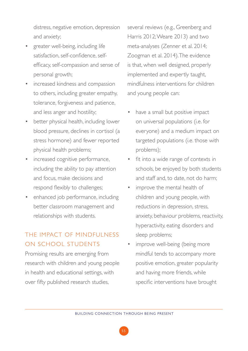distress, negative emotion, depression and anxiety;

- greater well-being, including life satisfaction, self-confidence, selfefficacy, self-compassion and sense of personal growth;
- increased kindness and compassion to others, including greater empathy, tolerance, forgiveness and patience, and less anger and hostility;
- better physical health, including lower blood pressure, declines in cortisol (a stress hormone) and fewer reported physical health problems;
- increased cognitive performance, including the ability to pay attention and focus, make decisions and respond flexibly to challenges;
- enhanced job performance, including better classroom management and relationships with students.

# THE IMPACT OF MINDEUI NESS ON SCHOOL STUDENTS

Promising results are emerging from research with children and young people in health and educational settings, with over fifty published research studies,

several reviews (e.g., Greenberg and Harris 2012; Weare 2013) and two meta-analyses (Zenner et al. 2014; Zoogman et al. 2014). The evidence is that, when well designed, properly implemented and expertly taught, mindfulness interventions for children and young people can:

- have a small but positive impact on universal populations (i.e. for everyone) and a medium impact on targeted populations (i.e. those with problems);
- fit into a wide range of contexts in schools, be enjoyed by both students and staff and to date, not do harm;
- improve the mental health of children and young people, with reductions in depression, stress, anxiety, behaviour problems, reactivity, hyperactivity, eating disorders and sleep problems;
- improve well-being (being more mindful tends to accompany more positive emotion, greater popularity and having more friends, while specific interventions have brought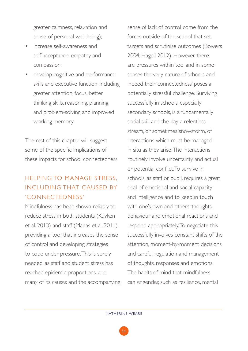greater calmness, relaxation and sense of personal well-being);

- increase self-awareness and self-acceptance, empathy and compassion;
- develop cognitive and performance skills and executive function, including greater attention, focus, better thinking skills, reasoning, planning and problem-solving and improved working memory.

The rest of this chapter will suggest some of the specific implications of these impacts for school connectedness.

# HELPING TO MANAGE STRESS, INCLUDING THAT CAUSED BY 'CONNECTEDNESS'

Mindfulness has been shown reliably to reduce stress in both students (Kuyken et al. 2013) and staff (Manas et al. 2011), providing a tool that increases the sense of control and developing strategies to cope under pressure. This is sorely needed, as staff and student stress has reached epidemic proportions, and many of its causes and the accompanying

sense of lack of control come from the forces outside of the school that set targets and scrutinise outcomes (Bowers 2004; Hagell 2012). However, there are pressures within too, and in some senses the very nature of schools and indeed their 'connectedness' poses a potentially stressful challenge. Surviving successfully in schools, especially secondary schools, is a fundamentally social skill and the day a relentless stream, or sometimes snowstorm, of interactions which must be managed in situ as they arise. The interactions routinely involve uncertainty and actual or potential conflict. To survive in schools, as staff or pupil, requires a great deal of emotional and social capacity and intelligence and to keep in touch with one's own and others' thoughts, behaviour and emotional reactions and respond appropriately. To negotiate this successfully involves constant shifts of the attention, moment-by-moment decisions and careful regulation and management of thoughts, responses and emotions. The habits of mind that mindfulness can engender, such as resilience, mental

56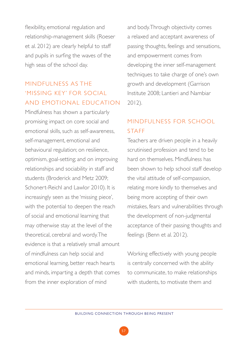flexibility, emotional regulation and relationship-management skills (Roeser et al. 2012) are clearly helpful to staff and pupils in surfing the waves of the high seas of the school day.

# MINDFULNESS AS THE 'MISSING KEY' FOR SOCIAL AND EMOTIONAL EDUC ATION

Mindfulness has shown a particularly promising impact on core social and emotional skills, such as self-awareness, self-management, emotional and behavioural regulation; on resilience, optimism, goal-setting; and on improving relationships and sociability in staff and students (Broderick and Metz 2009; Schonert-Reichl and Lawlor 2010). It is increasingly seen as the 'missing piece', with the potential to deepen the reach of social and emotional learning that may otherwise stay at the level of the theoretical, cerebral and wordy. The evidence is that a relatively small amount of mindfulness can help social and emotional learning, better reach hearts and minds, imparting a depth that comes from the inner exploration of mind

and body. Through objectivity comes a relaxed and acceptant awareness of passing thoughts, feelings and sensations, and empowerment comes from developing the inner self-management techniques to take charge of one's own growth and development (Garrison Institute 2008; Lantieri and Nambiar 2012).

# MINDFULNESS FOR SCHOOL STAFF

Teachers are driven people in a heavily scrutinised profession and tend to be hard on themselves. Mindfulness has been shown to help school staff develop the vital attitude of self-compassion, relating more kindly to themselves and being more accepting of their own mistakes, fears and vulnerabilities through the development of non-judgmental acceptance of their passing thoughts and feelings (Benn et al. 2012).

Working effectively with young people is centrally concerned with the ability to communicate, to make relationships with students, to motivate them and

57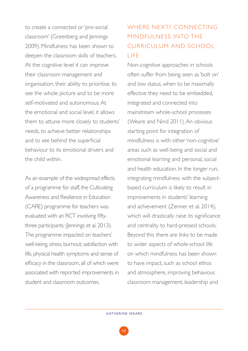to create a connected or 'pro-social classroom' (Greenberg and Jennings 2009). Mindfulness has been shown to deepen the classroom skills of teachers. At the cognitive level it can improve their classroom management and organisation, their ability to prioritise, to see the whole picture and to be more self-motivated and autonomous. At the emotional and social level, it allows them to attune more closely to students' needs, to achieve better relationships and to see behind the superficial behaviour to its emotional drivers and the child within.

As an example of the widespread effects of a programme for staff, the Cultivating Awareness and Resilience in Education (CARE) programme for teachers was evaluated with an RCT involving fiftythree participants (Jennings et al. 2013). The programme impacted on teachers' well-being, stress, burnout, satisfaction with life, physical health symptoms and sense of efficacy in the classroom, all of which were associated with reported improvements in student and classroom outcomes.

### WHERE NEXT? CONNECTING MINDFULNESS INTO THE CURRICULUM AND SCHOOL LIFE

Non-cognitive approaches in schools often suffer from being seen as 'bolt on' and low status, when to be maximally effective they need to be embedded, integrated and connected into mainstream whole-school processes (Weare and Nind 2011). An obvious starting point for integration of mindfulness is with other 'non-cognitive' areas such as well-being and social and emotional learning and personal, social and health education. In the longer run, integrating mindfulness with the subjectbased curriculum is likely to result in improvements in students' learning and achievement (Zenner et al. 2014), which will drastically raise its significance and centrality to hard-pressed schools. Beyond this there are links to be made to wider aspects of whole-school life on which mindfulness has been shown to have impact, such as school ethos and atmosphere, improving behaviour, classroom management, leadership and

58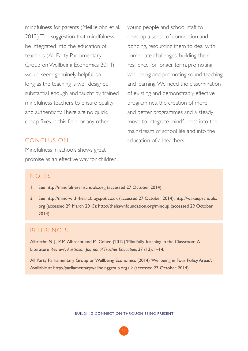mindfulness for parents (Meiklejohn et al. 2012). The suggestion that mindfulness be integrated into the education of teachers (All Party Parliamentary Group on Wellbeing Economics 2014) would seem genuinely helpful, so long as the teaching is well designed, substantial enough and taught by trained mindfulness teachers to ensure quality and authenticity. There are no quick, cheap fixes in this field, or any other.

#### CONCLUSION

Mindfulness in schools shows great promise as an effective way for children, young people and school staff to develop a sense of connection and bonding, resourcing them to deal with immediate challenges, building their resilience for longer term, promoting well-being and promoting sound teaching and learning. We need the dissemination of existing and demonstrably effective programmes, the creation of more and better programmes and a steady move to integrate mindfulness into the mainstream of school life and into the education of all teachers.

#### **NOTES**

- 1. See http://mindfulnessinschools.org (accessed 27 October 2014).
- 2. See http://mind-with-heart.blogspot.co.uk (accessed 27 October 2014); http://wakeupschools. org (accessed 29 March 2015); http://thehawnfoundation.org/mindup (accessed 29 October 2014).

#### REFERENCES

Albrecht, N. J., P. M. Albrecht and M. Cohen (2012) 'Mindfully Teaching in the Classroom: A Literature Review', *Australian Journal of Teacher Education*, 37 (12): 1–14.

All Party Parliamentary Group on Wellbeing Economics (2014) 'Wellbeing in Four Policy Areas'. Available at http://parliamentarywellbeinggroup.org.uk (accessed 27 October 2014).

59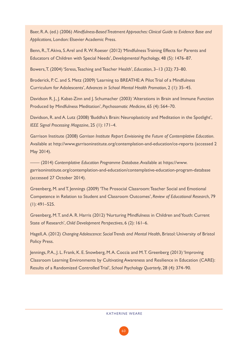Baer, R. A. (ed.) (2006) *Mindfulness-Based Treatment Approaches: Clinical Guide to Evidence Base and Applications*, London: Elsevier Academic Press.

Benn, R., T. Akiva, S. Arel and R. W. Roeser (2012) 'Mindfulness Training Effects for Parents and Educators of Children with Special Needs', *Developmental Psychology*, 48 (5): 1476–87.

Bowers, T. (2004) 'Stress, Teaching and Teacher Health', *Education*, 3–13 (32): 73–80.

Broderick, P. C. and S. Metz (2009) 'Learning to BREATHE: A Pilot Trial of a Mindfulness Curriculum for Adolescents', *Advances in School Mental Health Promotion*, 2 (1): 35–45.

Davidson R. J., J. Kabat-Zinn and J. Schumacher (2003) 'Alterations in Brain and Immune Function Produced by Mindfulness Meditation', *Psychosomatic Medicine*, 65 (4): 564–70.

Davidson, R. and A. Lutz (2008) 'Buddha's Brain: Neuroplasticity and Meditation in the Spotlight', *IEEE Signal Processing Magazine*, 25 (1): 171–4.

Garrison Institute (2008) *Garrison Institute Report Envisioning the Future of Contemplative Education*. Available at http://www.garrisoninstitute.org/contemplation-and-education/ce-reports (accessed 2 May 2014).

—— (2014) *Contemplative Education Programme Database*. Available at https://www. garrisoninstitute.org/contemplation-and-education/contemplative-education-program-database (accessed 27 October 2014).

Greenberg, M. and T. Jennings (2009) 'The Prosocial Classroom: Teacher Social and Emotional Competence in Relation to Student and Classroom Outcomes', *Review of Educational Research*, 79 (1): 491–525.

Greenberg, M. T. and A. R. Harris (2012) 'Nurturing Mindfulness in Children and Youth: Current State of Research', *Child Development Perspectives*, 6 (2): 161–6.

Hagell, A. (2012) *Changing Adolescence: Social Trends and Mental Health*, Bristol: University of Bristol Policy Press.

Jennings, P.A., J. L. Frank, K. E. Snowberg, M.A. Coccia and M.T. Greenberg (2013) 'Improving Classroom Learning Environments by Cultivating Awareness and Resilience in Education (CARE): Results of a Randomized Controlled Trial', *School Psychology Quarterly*, 28 (4): 374–90.

#### KATHERINE WEARE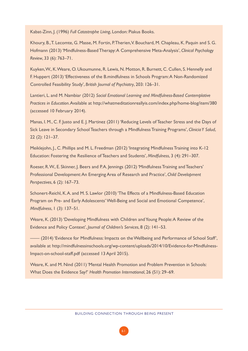Kabat-Zinn, J. (1996) *Full Catastrophe Living*, London: Piakus Books.

Khoury, B., T. Lecomte, G. Masse, M. Fortin, P. Therien, V. Bouchard, M. Chapleau, K. Paquin and S. G. Hofmann (2013) 'Mindfulness-Based Therapy: A Comprehensive Meta-Analysis', *Clinical Psychology Review*, 33 (6): 763–71.

Kuyken, W., K. Weare, O. Ukoumunne, R. Lewis, N. Motton, R. Burnett, C. Cullen, S. Hennelly and F. Huppert (2013) 'Effectiveness of the B.mindfulness in Schools Program: A Non-Randomized Controlled Feasibility Study', *British Journal of Psychiatry*, 203: 126–31.

Lantieri, L. and M. Nambiar (2012) *Social Emotional Learning and Mindfulness-Based Contemplative Practices in Education*. Available at http://whatmeditationreallyis.com/index.php/home-blog/item/380 (accessed 10 February 2014).

Manas, I. M., C. F. Justo and E. J. Martinez (2011) 'Reducing Levels of Teacher Stress and the Days of Sick Leave in Secondary School Teachers through a Mindfulness Training Programs', *Clinicia Y Salud*, 22 (2): 121–37.

Meiklejohn, J., C. Phillips and M. L. Freedman (2012) 'Integrating Mindfulness Training into K-12 Education: Fostering the Resilience of Teachers and Students', *Mindfulness*, 3 (4): 291–307.

Roeser, R. W., E. Skinner, J. Beers and P.A. Jennings (2012) 'Mindfulness Training and Teachers' Professional Development: An Emerging Area of Research and Practice', *Child Development Perspectives*, 6 (2): 167–73.

Schonert-Reichl, K. A. and M. S. Lawlor (2010) 'The Effects of a Mindfulness-Based Education Program on Pre- and Early Adolescents' Well-Being and Social and Emotional Competence', *Mindfulness*, 1 (3): 137–51.

Weare, K. (2013) 'Developing Mindfulness with Children and Young People: A Review of the Evidence and Policy Context', *Journal of Children's Services*, 8 (2): 141–53.

—— (2014) 'Evidence for Mindfulness: Impacts on the Wellbeing and Performance of School Staff', available at http://mindfulnessinschools.org/wp-content/uploads/2014/10/Evidence-for-Mindfulness-Impact-on-school-staff.pdf (accessed 13 April 2015).

Weare, K. and M. Nind (2011) 'Mental Health Promotion and Problem Prevention in Schools: What Does the Evidence Say?' *Health Promotion International*, 26 (S1): 29–69.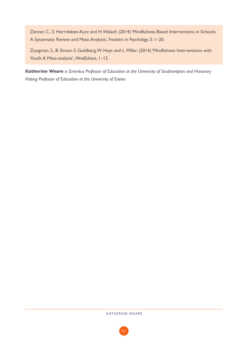Zenner, C., S. Herrnleben-Kurz and H. Walach (2014) 'Mindfulness-Based Interventions in Schools: A Systematic Review and Meta-Analysis', *Frontiers in Psychology*, 5: 1–20.

Zoogman, S., B. Simon, S. Goldberg, W. Hoyt and L. Miller (2014) 'Mindfulness Interventions with Youth: A Meta-analysis', *Mindfulness*, 1–13.

*Katherine Weare is Emeritus Professor of Education at the University of Southampton and Honorary Visiting Professor of Education at the University of Exeter.*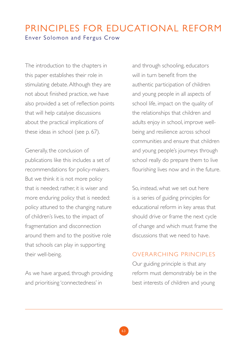## PRINCIPLES FOR EDUCATIONAL REFORM Enver Solomon and Fergus Crow

The introduction to the chapters in this paper establishes their role in stimulating debate. Although they are not about finished practice, we have also provided a set of reflection points that will help catalyse discussions about the practical implications of these ideas in school (see p. 67).

Generally, the conclusion of publications like this includes a set of recommendations for policy-makers. But we think it is not more policy that is needed; rather, it is wiser and more enduring policy that is needed: policy attuned to the changing nature of children's lives, to the impact of fragmentation and disconnection around them and to the positive role that schools can play in supporting their well-being.

As we have argued, through providing and prioritising 'connectedness' in

and through schooling, educators will in turn benefit from the authentic participation of children and young people in all aspects of school life, impact on the quality of the relationships that children and adults enjoy in school, improve wellbeing and resilience across school communities and ensure that children and young people's journeys through school really do prepare them to live flourishing lives now and in the future.

So, instead, what we set out here is a series of guiding principles for educational reform in key areas that should drive or frame the next cycle of change and which must frame the discussions that we need to have.

#### OVERARCHING PRINCIPLES

Our guiding principle is that any reform must demonstrably be in the best interests of children and young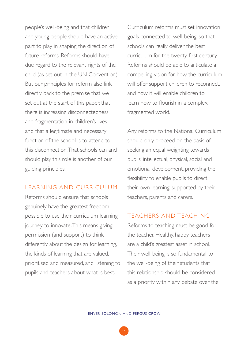people's well-being and that children and young people should have an active part to play in shaping the direction of future reforms. Reforms should have due regard to the relevant rights of the child (as set out in the UN Convention). But our principles for reform also link directly back to the premise that we set out at the start of this paper, that there is increasing disconnectedness and fragmentation in children's lives and that a legitimate and necessary function of the school is to attend to this disconnection. That schools can and should play this role is another of our guiding principles.

#### LEARNING AND CURRICULUM

Reforms should ensure that schools genuinely have the greatest freedom possible to use their curriculum learning journey to innovate. This means giving permission (and support) to think differently about the design for learning, the kinds of learning that are valued, prioritised and measured, and listening to pupils and teachers about what is best.

Curriculum reforms must set innovation goals connected to well-being, so that schools can really deliver the best curriculum for the twenty-first century. Reforms should be able to articulate a compelling vision for how the curriculum will offer support children to reconnect, and how it will enable children to learn how to flourish in a complex, fragmented world.

Any reforms to the National Curriculum should only proceed on the basis of seeking an equal weighting towards pupils' intellectual, physical, social and emotional development, providing the flexibility to enable pupils to direct their own learning, supported by their teachers, parents and carers.

#### TEACHERS AND TEACHING

Reforms to teaching must be good for the teacher. Healthy, happy teachers are a child's greatest asset in school. Their well-being is so fundamental to the well-being of their students that this relationship should be considered as a priority within any debate over the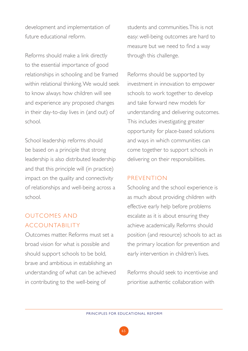development and implementation of future educational reform.

Reforms should make a link directly to the essential importance of good relationships in schooling and be framed within relational thinking. We would seek to know always how children will see and experience any proposed changes in their day-to-day lives in (and out) of school.

School leadership reforms should be based on a principle that strong leadership is also distributed leadership and that this principle will (in practice) impact on the quality and connectivity of relationships and well-being across a school.

### OUTCOMES AND ACCOUNTABILITY

Outcomes matter. Reforms must set a broad vision for what is possible and should support schools to be bold, brave and ambitious in establishing an understanding of what can be achieved in contributing to the well-being of

students and communities. This is not easy: well-being outcomes are hard to measure but we need to find a way through this challenge.

Reforms should be supported by investment in innovation to empower schools to work together to develop and take forward new models for understanding and delivering outcomes. This includes investigating greater opportunity for place-based solutions and ways in which communities can come together to support schools in delivering on their responsibilities.

#### PREVENTION

Schooling and the school experience is as much about providing children with effective early help before problems escalate as it is about ensuring they achieve academically. Reforms should position (and resource) schools to act as the primary location for prevention and early intervention in children's lives.

Reforms should seek to incentivise and prioritise authentic collaboration with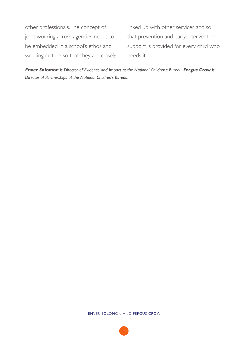other professionals. The concept of joint working across agencies needs to be embedded in a school's ethos and working culture so that they are closely

linked up with other services and so that prevention and early intervention support is provided for every child who needs it.

*Enver Solomon is Director of Evidence and Impact at the National Children's Bureau. Fergus Crow is Director of Partnerships at the National Children's Bureau.*

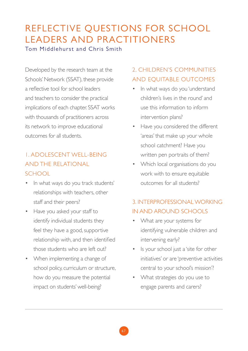# REFLECTIVE QUESTIONS FOR SCHOOL LEADERS AND PRACTITIONERS

Tom Middlehurst and Chris Smith

Developed by the research team at the Schools' Network (SSAT), these provide a reflective tool for school leaders and teachers to consider the practical implications of each chapter. SSAT works with thousands of practitioners across its network to improve educational outcomes for all students.

### 1. ADOLESCENT WELL-BEING AND THE RELATIONAL SCHOOL

- In what ways do you track students' relationships with teachers, other staff and their peers?
- Have you asked your staff to identify individual students they feel they have a good, supportive relationship with, and then identified those students who are left out?
- When implementing a change of school policy, curriculum or structure, how do you measure the potential impact on students' well-being?

### 2. CHILDREN'S COMMUNITIES AND EQUITABLE OUTCOMES

- In what ways do you 'understand children's lives in the round' and use this information to inform intervention plans?
- Have you considered the different 'areas' that make up your whole school catchment? Have you written pen portraits of them?
- Which local organisations do you work with to ensure equitable outcomes for all students?

### 3. INTERPROFESSIONAL WORKING IN AND AROUND SCHOOLS

- What are your systems for identifying vulnerable children and intervening early?
- Is your school just a 'site for other initiatives' or are 'preventive activities central to your school's mission'?
- What strategies do you use to engage parents and carers?